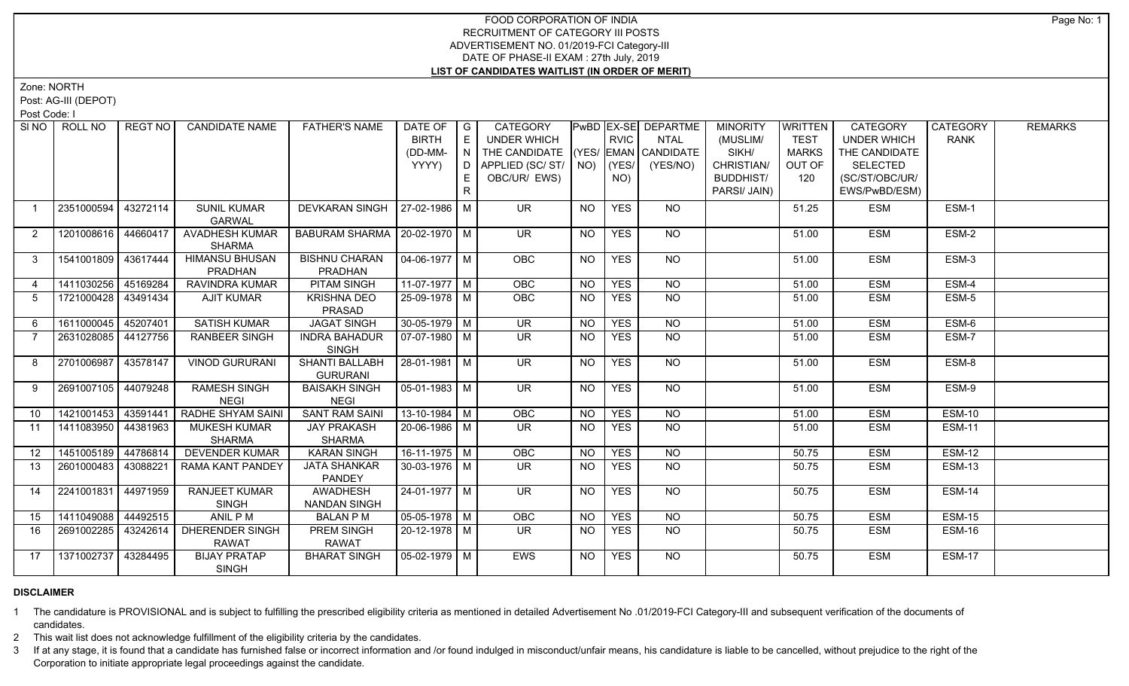Zone: NORTH

Post: AG-III (DEPOT)

Post Code: I

| SI <sub>NO</sub> | ROLL NO             | REGT NO  | <b>CANDIDATE NAME</b>                | <b>FATHER'S NAME</b>                     | DATE OF $ G $         |         | CATEGORY                           |                 |             | PwBD EX-SE DEPARTME | <b>MINORITY</b>  | <b>WRITTEN</b> | CATEGORY           | CATEGORY      | <b>REMARKS</b> |
|------------------|---------------------|----------|--------------------------------------|------------------------------------------|-----------------------|---------|------------------------------------|-----------------|-------------|---------------------|------------------|----------------|--------------------|---------------|----------------|
|                  |                     |          |                                      |                                          | <b>BIRTH</b>          | E       | UNDER WHICH                        |                 | <b>RVIC</b> | NTAL                | (MUSLIM/         | <b>TEST</b>    | <b>UNDER WHICH</b> | <b>RANK</b>   |                |
|                  |                     |          |                                      |                                          | (DD-MM-               | $(N)^T$ | THE CANDIDATE (YES/ EMAN CANDIDATE |                 |             |                     | SIKH/            | <b>MARKS</b>   | THE CANDIDATE      |               |                |
|                  |                     |          |                                      |                                          | YYYY)                 |         | D   APPLIED (SC/ ST/   NO)         |                 | (YES/       | (YES/NO)            | CHRISTIAN/       | OUT OF         | <b>SELECTED</b>    |               |                |
|                  |                     |          |                                      |                                          |                       |         | OBC/UR/ EWS)                       |                 | NO)         |                     | <b>BUDDHIST/</b> | 120            | (SC/ST/OBC/UR/     |               |                |
|                  |                     |          |                                      |                                          |                       | R.      |                                    |                 |             |                     | PARSI/ JAIN)     |                | EWS/PwBD/ESM)      |               |                |
|                  | 2351000594          | 43272114 | <b>SUNIL KUMAR</b><br><b>GARWAL</b>  | DEVKARAN SINGH   27-02-1986   M          |                       |         | <b>UR</b>                          | <b>NO</b>       | <b>YES</b>  | <b>NO</b>           |                  | 51.25          | <b>ESM</b>         | ESM-1         |                |
| 2                | 1201008616 44660417 |          | AVADHESH KUMAR<br><b>SHARMA</b>      | BABURAM SHARMA   20-02-1970   M          |                       |         | <b>UR</b>                          | <b>NO</b>       | <b>YES</b>  | NO                  |                  | 51.00          | <b>ESM</b>         | ESM-2         |                |
| $\mathbf{3}$     | 1541001809 43617444 |          | <b>HIMANSU BHUSAN</b>                | <b>BISHNU CHARAN</b>                     | 04-06-1977   M        |         | <b>OBC</b>                         | <b>NO</b>       | <b>YES</b>  | NO                  |                  | 51.00          | <b>ESM</b>         | ESM-3         |                |
|                  |                     |          | PRADHAN                              | PRADHAN                                  |                       |         |                                    |                 |             |                     |                  |                |                    |               |                |
| $\overline{4}$   | 1411030256 45169284 |          | <b>RAVINDRA KUMAR</b>                | <b>PITAM SINGH</b>                       | $11-07-1977$ M        |         | OBC                                | $\overline{NO}$ | <b>YES</b>  | $\overline{NO}$     |                  | 51.00          | <b>ESM</b>         | ESM-4         |                |
| 5                | 1721000428 43491434 |          | <b>AJIT KUMAR</b>                    | <b>KRISHNA DEO</b><br>PRASAD             | 25-09-1978   M        |         | OBC                                | <b>NO</b>       | <b>YES</b>  | <b>NO</b>           |                  | 51.00          | <b>ESM</b>         | ESM-5         |                |
| 6                | 1611000045 45207401 |          | <b>SATISH KUMAR</b>                  | <b>JAGAT SINGH</b>                       | 30-05-1979 M          |         | $\overline{\mathsf{UR}}$           | NO              | <b>YES</b>  | <b>NO</b>           |                  | 51.00          | <b>ESM</b>         | ESM-6         |                |
| $\overline{7}$   | 2631028085 44127756 |          | <b>RANBEER SINGH</b>                 | <b>INDRA BAHADUR</b><br><b>SINGH</b>     | $\sqrt{07-07-1980}$ M |         | $\overline{\mathsf{UR}}$           | <b>NO</b>       | <b>YES</b>  | $N$ <sup>O</sup>    |                  | 51.00          | <b>ESM</b>         | ESM-7         |                |
| 8                | 2701006987 43578147 |          | <b>VINOD GURURANI</b>                | <b>SHANTI BALLABH</b><br><b>GURURANI</b> | $28-01-1981$ M        |         | $\overline{\mathsf{UR}}$           | NO              | <b>YES</b>  | NO                  |                  | 51.00          | <b>ESM</b>         | $ESM-8$       |                |
| 9                | 2691007105 44079248 |          | <b>RAMESH SINGH</b><br><b>NEGI</b>   | <b>BAISAKH SINGH</b><br><b>NEGI</b>      | $\sqrt{05-01-1983}$ M |         | <b>UR</b>                          | <b>NO</b>       | <b>YES</b>  | <b>NO</b>           |                  | 51.00          | <b>ESM</b>         | ESM-9         |                |
| 10               | 1421001453 43591441 |          | <b>RADHE SHYAM SAINI</b>             | <b>SANT RAM SAINI</b>                    | $13 - 10 - 1984$ M    |         | OBC                                | NO              | <b>YES</b>  | $\overline{NO}$     |                  | 51.00          | <b>ESM</b>         | <b>ESM-10</b> |                |
| 11               | 1411083950 44381963 |          | <b>MUKESH KUMAR</b><br><b>SHARMA</b> | <b>JAY PRAKASH</b><br><b>SHARMA</b>      | 20-06-1986   M        |         | UR.                                | NO.             | <b>YES</b>  | NO                  |                  | 51.00          | <b>ESM</b>         | <b>ESM-11</b> |                |
| 12               | 1451005189 44786814 |          | <b>DEVENDER KUMAR</b>                | <b>KARAN SINGH</b>                       | $16-11-1975$ M        |         | OBC                                | N <sub>O</sub>  | <b>YES</b>  | $\overline{NO}$     |                  | 50.75          | <b>ESM</b>         | <b>ESM-12</b> |                |
| 13               | 2601000483 43088221 |          | RAMA KANT PANDEY                     | <b>JATA SHANKAR</b><br>PANDEY            | $30 - 03 - 1976$ M    |         | $\overline{\mathsf{UR}}$           | <b>NO</b>       | <b>YES</b>  | $\overline{NO}$     |                  | 50.75          | <b>ESM</b>         | <b>ESM-13</b> |                |
| 14               | 2241001831 44971959 |          | <b>RANJEET KUMAR</b><br><b>SINGH</b> | <b>AWADHESH</b><br><b>NANDAN SINGH</b>   | $24 - 01 - 1977$ M    |         | $\overline{\mathsf{UR}}$           | <b>NO</b>       | <b>YES</b>  | NO                  |                  | 50.75          | <b>ESM</b>         | <b>ESM-14</b> |                |
| 15               | 1411049088 44492515 |          | ANIL P M                             | <b>BALAN PM</b>                          | $05-05-1978$ M        |         | OBC                                | <b>NO</b>       | <b>YES</b>  | <b>NO</b>           |                  | 50.75          | <b>ESM</b>         | <b>ESM-15</b> |                |
| 16               | 2691002285          | 43242614 | DHERENDER SINGH<br><b>RAWAT</b>      | PREM SINGH<br><b>RAWAT</b>               | 20-12-1978   M        |         | UR.                                | NO.             | <b>YES</b>  | NO.                 |                  | 50.75          | <b>ESM</b>         | ESM-16        |                |
| 17               | 1371002737 43284495 |          | <b>BIJAY PRATAP</b><br><b>SINGH</b>  | <b>BHARAT SINGH</b>                      | 05-02-1979 M          |         | <b>EWS</b>                         | <b>NO</b>       | <b>YES</b>  | <b>NO</b>           |                  | 50.75          | <b>ESM</b>         | <b>ESM-17</b> |                |

# **DISCLAIMER**

1 The candidature is PROVISIONAL and is subject to fulfilling the prescribed eligibility criteria as mentioned in detailed Advertisement No .01/2019-FCI Category-III and subsequent verification of the documents of candidates.

2 This wait list does not acknowledge fulfillment of the eligibility criteria by the candidates.

3 If at any stage, it is found that a candidate has furnished false or incorrect information and /or found indulged in misconduct/unfair means, his candidature is liable to be cancelled, without prejudice to the right of t Corporation to initiate appropriate legal proceedings against the candidate.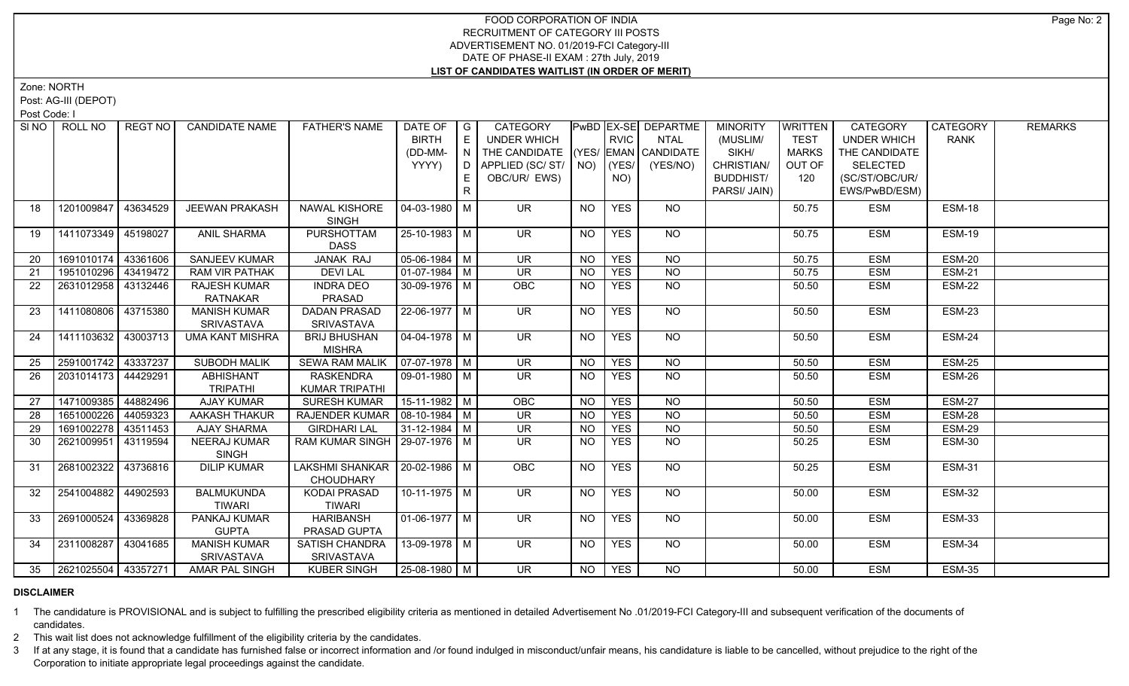Zone: NORTH

Post: AG-III (DEPOT)

Post Code: I

| SI <sub>NO</sub> | ROLL NO             | REGT NO  | <b>CANDIDATE NAME</b>                  | <b>FATHER'S NAME</b>                                 | DATE OF $ G $<br><b>BIRTH</b><br>(DD-MM- | E<br>$(N)^T$ | CATEGORY<br>UNDER WHICH<br>THE CANDIDATE (YES/ EMAN CANDIDATE |                 | <b>RVIC</b>  | PwBD EX-SE DEPARTME<br><b>NTAL</b> | <b>MINORITY</b><br>(MUSLIM/<br>SIKH/           | <b>WRITTEN</b><br><b>TEST</b><br><b>MARKS</b> | CATEGORY<br><b>UNDER WHICH</b><br>THE CANDIDATE    | CATEGORY<br><b>RANK</b> | <b>REMARKS</b> |
|------------------|---------------------|----------|----------------------------------------|------------------------------------------------------|------------------------------------------|--------------|---------------------------------------------------------------|-----------------|--------------|------------------------------------|------------------------------------------------|-----------------------------------------------|----------------------------------------------------|-------------------------|----------------|
|                  |                     |          |                                        |                                                      | YYYY)                                    | E.<br>R      | D APPLIED (SC/ ST/ NO)<br>OBC/UR/ EWS)                        |                 | (YES/<br>NO) | (YES/NO)                           | CHRISTIAN/<br><b>BUDDHIST/</b><br>PARSI/ JAIN) | OUT OF<br>120                                 | <b>SELECTED</b><br>(SC/ST/OBC/UR/<br>EWS/PwBD/ESM) |                         |                |
| 18               | 1201009847          | 43634529 | <b>JEEWAN PRAKASH</b>                  | NAWAL KISHORE<br><b>SINGH</b>                        | 04-03-1980 M                             |              | <b>UR</b>                                                     | <b>NO</b>       | <b>YES</b>   | <b>NO</b>                          |                                                | 50.75                                         | <b>ESM</b>                                         | <b>ESM-18</b>           |                |
| 19               | 1411073349 45198027 |          | <b>ANIL SHARMA</b>                     | PURSHOTTAM<br><b>DASS</b>                            | 25-10-1983 M                             |              | <b>UR</b>                                                     | <b>NO</b>       | <b>YES</b>   | <b>NO</b>                          |                                                | 50.75                                         | <b>ESM</b>                                         | <b>ESM-19</b>           |                |
| 20               | 1691010174 43361606 |          | SANJEEV KUMAR                          | JANAK RAJ                                            | $\boxed{05 - 06 - 1984}$ M               |              | $\overline{\mathsf{UR}}$                                      | <b>NO</b>       | <b>YES</b>   | <b>NO</b>                          |                                                | 50.75                                         | <b>ESM</b>                                         | <b>ESM-20</b>           |                |
| 21               | 1951010296 43419472 |          | <b>RAM VIR PATHAK</b>                  | <b>DEVILAL</b>                                       | $01-07-1984$ M                           |              | $\overline{\mathsf{UR}}$                                      | $\overline{NO}$ | <b>YES</b>   | $\overline{NO}$                    |                                                | 50.75                                         | <b>ESM</b>                                         | <b>ESM-21</b>           |                |
| 22               | 2631012958 33132446 |          | <b>RAJESH KUMAR</b><br><b>RATNAKAR</b> | <b>INDRA DEO</b><br>PRASAD                           | 30-09-1976 M                             |              | <b>OBC</b>                                                    | <b>NO</b>       | <b>YES</b>   | NO                                 |                                                | 50.50                                         | <b>ESM</b>                                         | <b>ESM-22</b>           |                |
| 23               | 1411080806 43715380 |          | <b>MANISH KUMAR</b><br>SRIVASTAVA      | <b>DADAN PRASAD</b><br>SRIVASTAVA                    | 22-06-1977   M                           |              | UR.                                                           | NO.             | <b>YES</b>   | NO                                 |                                                | 50.50                                         | <b>ESM</b>                                         | ESM-23                  |                |
| 24               | 1411103632 43003713 |          | <b>UMA KANT MISHRA</b>                 | <b>BRIJ BHUSHAN</b><br><b>MISHRA</b>                 | $\sqrt{04-04-1978}$ M                    |              | $\overline{\mathsf{UR}}$                                      | <b>NO</b>       | <b>YES</b>   | $N$ O                              |                                                | 50.50                                         | <b>ESM</b>                                         | <b>ESM-24</b>           |                |
| 25               | 2591001742 43337237 |          | <b>SUBODH MALIK</b>                    | <b>SEWA RAM MALIK</b>                                | $\sqrt{07-07-1978}$ M                    |              | <b>UR</b>                                                     | <b>NO</b>       | <b>YES</b>   | NO                                 |                                                | 50.50                                         | <b>ESM</b>                                         | ESM-25                  |                |
| 26               | 2031014173 44429291 |          | <b>ABHISHANT</b><br><b>TRIPATHI</b>    | <b>RASKENDRA</b><br>KUMAR TRIPATHI                   | $\boxed{09-01-1980}$ M                   |              | $\overline{\mathsf{UR}}$                                      | <b>NO</b>       | <b>YES</b>   | $N$ O                              |                                                | 50.50                                         | <b>ESM</b>                                         | <b>ESM-26</b>           |                |
| 27               | 1471009385 44882496 |          | <b>AJAY KUMAR</b>                      | SURESH KUMAR                                         | 15-11-1982 M                             |              | OBC                                                           | <b>NO</b>       | <b>YES</b>   | <b>NO</b>                          |                                                | 50.50                                         | <b>ESM</b>                                         | <b>ESM-27</b>           |                |
| 28               | 1651000226 44059323 |          | AAKASH THAKUR                          | RAJENDER KUMAR   08-10-1984   M                      |                                          |              | <b>UR</b>                                                     | <b>NO</b>       | <b>YES</b>   | <b>NO</b>                          |                                                | 50.50                                         | <b>ESM</b>                                         | ESM-28                  |                |
| 29               | 1691002278          | 43511453 | <b>AJAY SHARMA</b>                     | <b>GIRDHARI LAL</b>                                  | $31-12-1984$ M                           |              | $\overline{\mathsf{UR}}$                                      | <b>NO</b>       | <b>YES</b>   | $\overline{NQ}$                    |                                                | 50.50                                         | <b>ESM</b>                                         | <b>ESM-29</b>           |                |
| 30               | 2621009951 43119594 |          | <b>NEERAJ KUMAR</b><br><b>SINGH</b>    | RAM KUMAR SINGH   29-07-1976   M                     |                                          |              | <b>UR</b>                                                     | NO.             | <b>YES</b>   | <b>NO</b>                          |                                                | 50.25                                         | <b>ESM</b>                                         | <b>ESM-30</b>           |                |
| 31               | 2681002322 43736816 |          | <b>DILIP KUMAR</b>                     | LAKSHMI SHANKAR   20-02-1986   M<br><b>CHOUDHARY</b> |                                          |              | OBC                                                           | <b>NO</b>       | <b>YES</b>   | $\overline{NO}$                    |                                                | 50.25                                         | <b>ESM</b>                                         | <b>ESM-31</b>           |                |
| -32              | 2541004882          | 44902593 | <b>BALMUKUNDA</b><br><b>TIWARI</b>     | <b>KODAI PRASAD</b><br><b>TIWARI</b>                 | 10-11-1975   M                           |              | UR.                                                           | <b>NO</b>       | <b>YES</b>   | NO                                 |                                                | 50.00                                         | <b>ESM</b>                                         | <b>ESM-32</b>           |                |
| 33               | 2691000524          | 43369828 | PANKAJ KUMAR<br><b>GUPTA</b>           | <b>HARIBANSH</b><br>PRASAD GUPTA                     | $01-06-1977$ M                           |              | UR                                                            | NO.             | <b>YES</b>   | NO                                 |                                                | 50.00                                         | <b>ESM</b>                                         | <b>ESM-33</b>           |                |
| 34               | 2311008287 43041685 |          | <b>MANISH KUMAR</b><br>SRIVASTAVA      | SATISH CHANDRA<br>SRIVASTAVA                         | $13-09-1978$ M                           |              | <b>UR</b>                                                     | <b>NO</b>       | <b>YES</b>   | NO                                 |                                                | 50.00                                         | <b>ESM</b>                                         | <b>ESM-34</b>           |                |
| 35               | 2621025504 43357271 |          | <b>AMAR PAL SINGH</b>                  | <b>KUBER SINGH</b>                                   | $25-08-1980$ M                           |              | <b>UR</b>                                                     | <b>NO</b>       | <b>YES</b>   | <b>NO</b>                          |                                                | 50.00                                         | <b>ESM</b>                                         | <b>ESM-35</b>           |                |

#### **DISCLAIMER**

1 The candidature is PROVISIONAL and is subject to fulfilling the prescribed eligibility criteria as mentioned in detailed Advertisement No .01/2019-FCI Category-III and subsequent verification of the documents of candidates.

2 This wait list does not acknowledge fulfillment of the eligibility criteria by the candidates.

3 If at any stage, it is found that a candidate has furnished false or incorrect information and /or found indulged in misconduct/unfair means, his candidature is liable to be cancelled, without prejudice to the right of t Corporation to initiate appropriate legal proceedings against the candidate.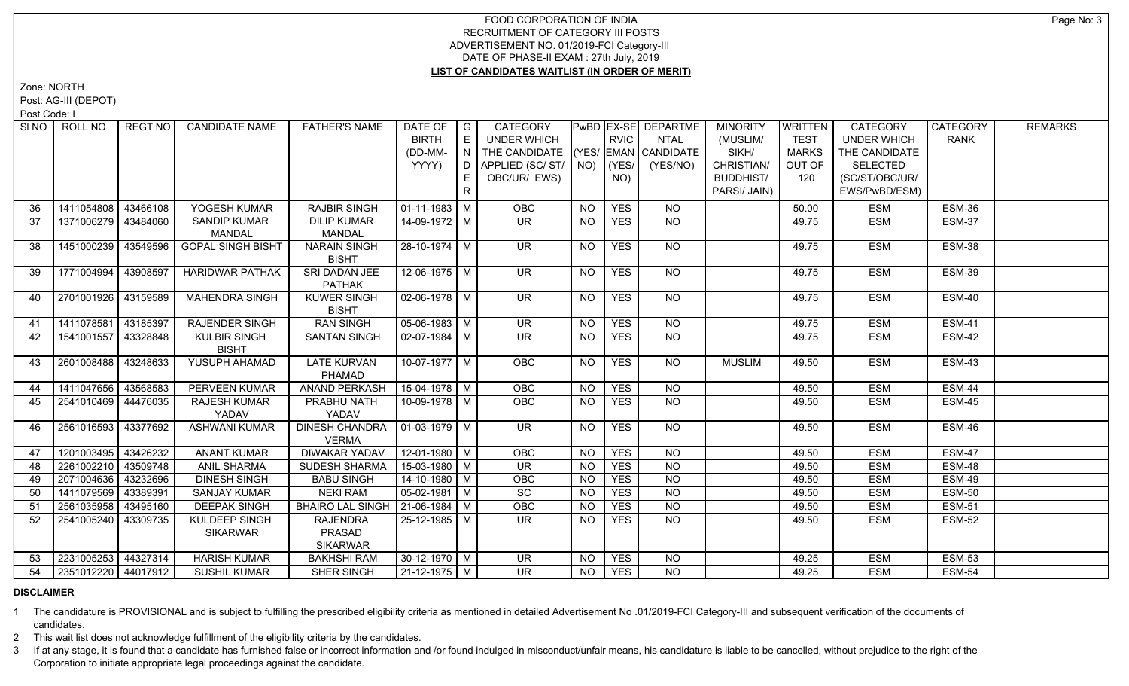Zone: NORTH

Post: AG-III (DEPOT)

Post Code: I

| SI NO I | ROLL NO             | REGT NO  | <b>CANDIDATE NAME</b>    | <b>FATHER'S NAME</b>               | DATE OF   G        |                | CATEGORY                           |           |             | <b>PWBD EX-SE DEPARTME</b> | <b>MINORITY</b>  | <b>WRITTEN</b> | <b>CATEGORY</b>    | CATEGORY      | <b>REMARKS</b> |
|---------|---------------------|----------|--------------------------|------------------------------------|--------------------|----------------|------------------------------------|-----------|-------------|----------------------------|------------------|----------------|--------------------|---------------|----------------|
|         |                     |          |                          |                                    | <b>BIRTH</b>       | E              | <b>UNDER WHICH</b>                 |           | <b>RVIC</b> | <b>NTAL</b>                | (MUSLIM/         | <b>TEST</b>    | <b>UNDER WHICH</b> | <b>RANK</b>   |                |
|         |                     |          |                          |                                    | (DD-MM-            | $\overline{N}$ | THE CANDIDATE (YES/ EMAN CANDIDATE |           |             |                            | SIKH/            | <b>MARKS</b>   | THE CANDIDATE      |               |                |
|         |                     |          |                          |                                    | YYYY)              | D              | APPLIED (SC/ST/ NO)                |           | (YES/       | (YES/NO)                   | CHRISTIAN/       | OUT OF         | <b>SELECTED</b>    |               |                |
|         |                     |          |                          |                                    |                    | E              | OBC/UR/ EWS)                       |           | NO)         |                            | <b>BUDDHIST/</b> | 120            | (SC/ST/OBC/UR/     |               |                |
|         |                     |          |                          |                                    |                    | $\mathsf{R}$   |                                    |           |             |                            | PARSI/ JAIN)     |                | EWS/PwBD/ESM)      |               |                |
| 36      | 1411054808          | 43466108 | YOGESH KUMAR             | <b>RAJBIR SINGH</b>                | 01-11-1983   M     |                | OBC                                | <b>NO</b> | <b>YES</b>  | <b>NO</b>                  |                  | 50.00          | <b>ESM</b>         | ESM-36        |                |
| 37      | 1371006279          | 43484060 | <b>SANDIP KUMAR</b>      | <b>DILIP KUMAR</b>                 | 14-09-1972 M       |                | UR.                                | <b>NO</b> | <b>YES</b>  | NO                         |                  | 49.75          | <b>ESM</b>         | <b>ESM-37</b> |                |
|         |                     |          | <b>MANDAL</b>            | MANDAL                             |                    |                |                                    |           |             |                            |                  |                |                    |               |                |
| 38      | 1451000239          | 43549596 | <b>GOPAL SINGH BISHT</b> | <b>NARAIN SINGH</b>                | 28-10-1974 M       |                | <b>UR</b>                          | <b>NO</b> | <b>YES</b>  | NO.                        |                  | 49.75          | <b>ESM</b>         | ESM-38        |                |
|         |                     |          |                          | <b>BISHT</b>                       |                    |                |                                    |           |             |                            |                  |                |                    |               |                |
| 39      | 1771004994          | 43908597 | <b>HARIDWAR PATHAK</b>   | SRI DADAN JEE                      | $12 - 06 - 1975$ M |                | UR.                                | NO.       | <b>YES</b>  | NO                         |                  | 49.75          | <b>ESM</b>         | <b>ESM-39</b> |                |
|         |                     |          |                          | <b>PATHAK</b>                      |                    |                |                                    |           |             |                            |                  |                |                    |               |                |
| 40      | 2701001926          | 43159589 | <b>MAHENDRA SINGH</b>    | <b>KUWER SINGH</b><br><b>BISHT</b> | $02 - 06 - 1978$ M |                | $\overline{\mathsf{UR}}$           | <b>NO</b> | <b>YES</b>  | $\overline{NO}$            |                  | 49.75          | <b>ESM</b>         | ESM-40        |                |
| 41      | 1411078581          | 43185397 | <b>RAJENDER SINGH</b>    | <b>RAN SINGH</b>                   | $05-06-1983$ M     |                | $\overline{\mathsf{UR}}$           | <b>NO</b> | <b>YES</b>  | $N$ O                      |                  | 49.75          | <b>ESM</b>         | <b>ESM-41</b> |                |
| 42      | 1541001557          | 43328848 | <b>KULBIR SINGH</b>      | <b>SANTAN SINGH</b>                | 02-07-1984 M       |                | UR.                                | <b>NO</b> | <b>YES</b>  | NO                         |                  | 49.75          | <b>ESM</b>         | ESM-42        |                |
|         |                     |          | <b>BISHT</b>             |                                    |                    |                |                                    |           |             |                            |                  |                |                    |               |                |
| 43      | 2601008488          | 43248633 | YUSUPH AHAMAD            | <b>LATE KURVAN</b>                 | $10-07-1977$ M     |                | <b>OBC</b>                         | <b>NO</b> | <b>YES</b>  | NO.                        | <b>MUSLIM</b>    | 49.50          | <b>ESM</b>         | <b>ESM-43</b> |                |
|         |                     |          |                          | PHAMAD                             |                    |                |                                    |           |             |                            |                  |                |                    |               |                |
| 44      | 1411047656          | 43568583 | PERVEEN KUMAR            | <b>ANAND PERKASH</b>               | 15-04-1978 M       |                | OBC                                | <b>NO</b> | <b>YES</b>  | NO                         |                  | 49.50          | <b>ESM</b>         | <b>ESM-44</b> |                |
| 45      | 2541010469 44476035 |          | RAJESH KUMAR             | PRABHU NATH                        | 10-09-1978 M       |                | <b>OBC</b>                         | <b>NO</b> | <b>YES</b>  | NO                         |                  | 49.50          | <b>ESM</b>         | ESM-45        |                |
|         |                     |          | YADAV                    | YADAV                              |                    |                |                                    |           |             |                            |                  |                |                    |               |                |
| 46      | 2561016593 43377692 |          | <b>ASHWANI KUMAR</b>     | <b>DINESH CHANDRA</b>              | $ 01-03-1979 M$    |                | $\overline{\mathsf{UR}}$           | <b>NO</b> | <b>YES</b>  | NO                         |                  | 49.50          | <b>ESM</b>         | ESM-46        |                |
|         |                     |          |                          | <b>VERMA</b>                       |                    |                |                                    |           |             |                            |                  |                |                    |               |                |
| 47      | 1201003495 43426232 |          | <b>ANANT KUMAR</b>       | <b>DIWAKAR YADAV</b>               | 12-01-1980 M       |                | OBC                                | <b>NO</b> | <b>YES</b>  | NO                         |                  | 49.50          | <b>ESM</b>         | ESM-47        |                |
| 48      | 2261002210          | 43509748 | <b>ANIL SHARMA</b>       | <b>SUDESH SHARMA</b>               | $15-03-1980$ M     |                | $\overline{\mathsf{UR}}$           | <b>NO</b> | <b>YES</b>  | $\overline{NO}$            |                  | 49.50          | <b>ESM</b>         | ESM-48        |                |
| 49      | 2071004636          | 43232696 | <b>DINESH SINGH</b>      | <b>BABU SINGH</b>                  | 14-10-1980   M     |                | <b>OBC</b>                         | <b>NO</b> | <b>YES</b>  | NO                         |                  | 49.50          | <b>ESM</b>         | ESM-49        |                |
| 50      | 1411079569          | 43389391 | <b>SANJAY KUMAR</b>      | <b>NEKI RAM</b>                    | $05-02-1981$ M     |                | $\overline{SC}$                    | <b>NO</b> | <b>YES</b>  | $\overline{NO}$            |                  | 49.50          | <b>ESM</b>         | <b>ESM-50</b> |                |
| 51      | 2561035958          | 43495160 | <b>DEEPAK SINGH</b>      | <b>BHAIRO LAL SINGH</b>            | $ 21-06-1984 $ M   |                | <b>OBC</b>                         | <b>NO</b> | <b>YES</b>  | <b>NO</b>                  |                  | 49.50          | <b>ESM</b>         | <b>ESM-51</b> |                |
| 52      | 2541005240          | 43309735 | <b>KULDEEP SINGH</b>     | <b>RAJENDRA</b>                    | 25-12-1985 M       |                | UR.                                | NO.       | <b>YES</b>  | $\overline{NO}$            |                  | 49.50          | <b>ESM</b>         | <b>ESM-52</b> |                |
|         |                     |          | <b>SIKARWAR</b>          | PRASAD                             |                    |                |                                    |           |             |                            |                  |                |                    |               |                |
|         |                     |          |                          | <b>SIKARWAR</b>                    |                    |                |                                    |           |             |                            |                  |                |                    |               |                |
| 53      | 2231005253 44327314 |          | <b>HARISH KUMAR</b>      | <b>BAKHSHI RAM</b>                 | 30-12-1970   M     |                | UR.                                | <b>NO</b> | <b>YES</b>  | NO.                        |                  | 49.25          | <b>ESM</b>         | <b>ESM-53</b> |                |
| 54      | 2351012220 44017912 |          | <b>SUSHIL KUMAR</b>      | <b>SHER SINGH</b>                  | $21-12-1975$ M     |                | <b>UR</b>                          | NO.       | <b>YES</b>  | <b>NO</b>                  |                  | 49.25          | <b>ESM</b>         | <b>ESM-54</b> |                |

# **DISCLAIMER**

1 The candidature is PROVISIONAL and is subject to fulfilling the prescribed eligibility criteria as mentioned in detailed Advertisement No .01/2019-FCI Category-III and subsequent verification of the documents of candidates.

2 This wait list does not acknowledge fulfillment of the eligibility criteria by the candidates.

3 If at any stage, it is found that a candidate has furnished false or incorrect information and /or found indulged in misconduct/unfair means, his candidature is liable to be cancelled, without prejudice to the right of t Corporation to initiate appropriate legal proceedings against the candidate.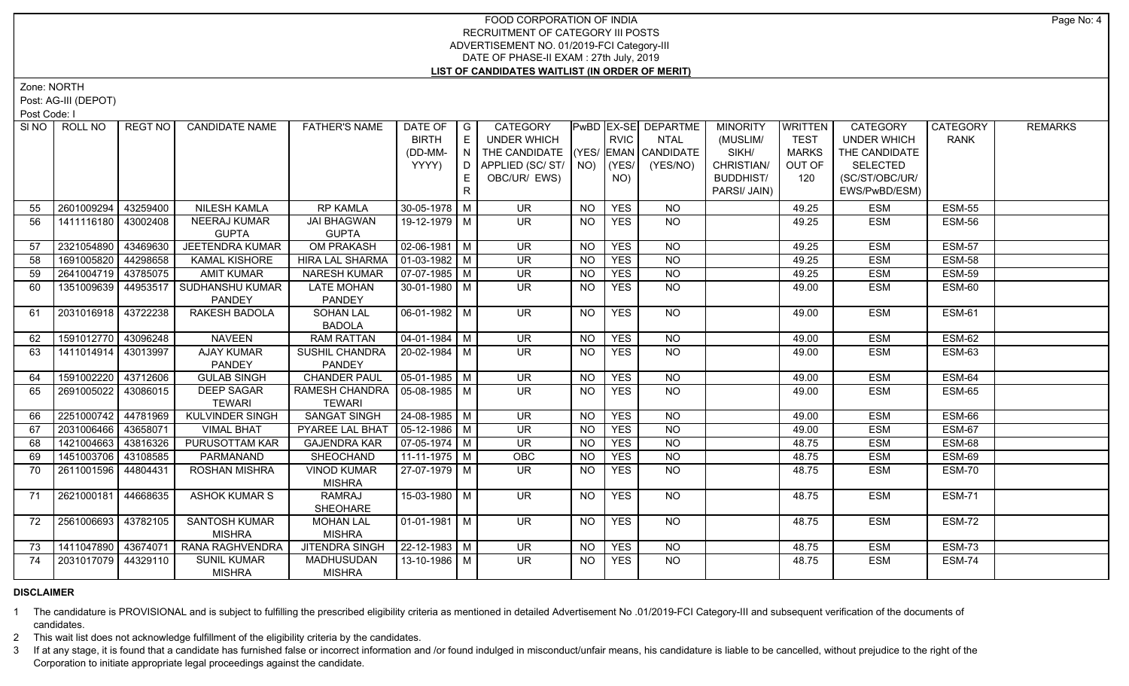Zone: NORTH

Post: AG-III (DEPOT)

Post Code: I

|     | SINO   ROLL NO        | REGT NO I | <b>CANDIDATE NAME</b>               | <b>FATHER'S NAME</b>                             | DATE OF<br><b>BIRTH</b> | I G<br>E      | CATEGORY<br><b>UNDER WHICH</b>                                           |                | <b>RVIC</b> | PwBD   EX-SE   DEPARTME<br><b>NTAL</b> | <b>MINORITY</b><br>(MUSLIM/ | <b>WRITTEN</b><br><b>TEST</b> | <b>CATEGORY</b><br><b>UNDER WHICH</b> | CATEGORY<br>RANK | <b>REMARKS</b> |
|-----|-----------------------|-----------|-------------------------------------|--------------------------------------------------|-------------------------|---------------|--------------------------------------------------------------------------|----------------|-------------|----------------------------------------|-----------------------------|-------------------------------|---------------------------------------|------------------|----------------|
|     |                       |           |                                     |                                                  |                         |               |                                                                          |                |             |                                        | SIKH/                       |                               |                                       |                  |                |
|     |                       |           |                                     |                                                  | (DD-MM-<br>YYYY)        | $\mid N \mid$ | THE CANDIDATE (YES/ EMAN CANDIDATE<br>D   APPLIED (SC/ ST/   NO)   (YES/ |                |             | (YES/NO)                               | CHRISTIAN/                  | <b>MARKS</b><br>OUT OF        | THE CANDIDATE<br><b>SELECTED</b>      |                  |                |
|     |                       |           |                                     |                                                  |                         | E             | OBC/UR/ EWS)                                                             |                | NO)         |                                        | <b>BUDDHIST/</b>            | 120                           | (SC/ST/OBC/UR/                        |                  |                |
|     |                       |           |                                     |                                                  |                         | R.            |                                                                          |                |             |                                        | PARSI/ JAIN)                |                               | EWS/PwBD/ESM)                         |                  |                |
|     |                       |           |                                     |                                                  |                         |               |                                                                          |                |             |                                        |                             |                               |                                       |                  |                |
| 55  | 2601009294            | 43259400  | <b>NILESH KAMLA</b>                 | <b>RP KAMLA</b>                                  | $30-05-1978$ M          |               | <b>UR</b>                                                                | <b>NO</b>      | <b>YES</b>  | <b>NO</b>                              |                             | 49.25                         | <b>ESM</b>                            | <b>ESM-55</b>    |                |
| 56  | 1411116180            | 43002408  | <b>NEERAJ KUMAR</b><br><b>GUPTA</b> | <b>JAI BHAGWAN</b><br><b>GUPTA</b>               | 19-12-1979   M          |               | UR.                                                                      | NO.            | <b>YES</b>  | N <sub>O</sub>                         |                             | 49.25                         | <b>ESM</b>                            | ESM-56           |                |
| 57  | 2321054890            | 43469630  | <b>JEETENDRA KUMAR</b>              | <b>OM PRAKASH</b>                                | $02 - 06 - 1981$ M      |               | UR.                                                                      | NO             | <b>YES</b>  | <b>NO</b>                              |                             | 49.25                         | <b>ESM</b>                            | <b>ESM-57</b>    |                |
| 58  | 1691005820            | 44298658  | <b>KAMAL KISHORE</b>                | <b>HIRA LAL SHARMA</b>                           | $01-03-1982$ M          |               | <b>UR</b>                                                                | <b>NO</b>      | <b>YES</b>  | $\overline{N}$                         |                             | 49.25                         | <b>ESM</b>                            | <b>ESM-58</b>    |                |
| 59  | 2641004719            | 43785075  | <b>AMIT KUMAR</b>                   | <b>NARESH KUMAR</b>                              | $07-07-1985$ M          |               | <b>UR</b>                                                                | <b>NO</b>      | <b>YES</b>  | <b>NO</b>                              |                             | 49.25                         | <b>ESM</b>                            | <b>ESM-59</b>    |                |
| 60  | 1351009639            |           | 44953517 SUDHANSHU KUMAR<br>PANDEY  | <b>LATE MOHAN</b><br><b>PANDEY</b>               | $30-01-1980$ M          |               | <b>UR</b>                                                                | NO.            | <b>YES</b>  | <b>NO</b>                              |                             | 49.00                         | <b>ESM</b>                            | ESM-60           |                |
| -61 | 2031016918 43722238   |           | RAKESH BADOLA                       | <b>SOHAN LAL</b><br><b>BADOLA</b>                | 06-01-1982 M            |               | <b>UR</b>                                                                | NO.            | <b>YES</b>  | $\overline{NQ}$                        |                             | 49.00                         | <b>ESM</b>                            | <b>ESM-61</b>    |                |
| 62  | 1591012770 43096248   |           | <b>NAVEEN</b>                       | <b>RAM RATTAN</b>                                | $04 - 01 - 1984$ M      |               | <b>UR</b>                                                                | <b>NO</b>      | <b>YES</b>  | <b>NO</b>                              |                             | 49.00                         | <b>ESM</b>                            | ESM-62           |                |
| 63  | 1411014914 43013997   |           | <b>AJAY KUMAR</b>                   | <b>SUSHIL CHANDRA</b>                            | 20-02-1984 M            |               | $\overline{\mathsf{UR}}$                                                 | <b>NO</b>      | <b>YES</b>  | NO                                     |                             | 49.00                         | <b>ESM</b>                            | <b>ESM-63</b>    |                |
|     |                       |           | <b>PANDEY</b>                       | <b>PANDEY</b>                                    |                         |               |                                                                          |                |             |                                        |                             |                               |                                       |                  |                |
| 64  | 1591002220            | 43712606  | <b>GULAB SINGH</b>                  | <b>CHANDER PAUL</b>                              | $\boxed{05-01-1985}$ M  |               | $\overline{\mathsf{UR}}$                                                 | <b>NO</b>      | <b>YES</b>  | $N$ O                                  |                             | 49.00                         | <b>ESM</b>                            | <b>ESM-64</b>    |                |
| 65  | 2691005022            | 43086015  | <b>DEEP SAGAR</b><br><b>TEWARI</b>  | RAMESH CHANDRA   05-08-1985   M<br><b>TEWARI</b> |                         |               | UR.                                                                      | NO.            | <b>YES</b>  | <b>NO</b>                              |                             | 49.00                         | <b>ESM</b>                            | ESM-65           |                |
| 66  | 2251000742            | 44781969  | <b>KULVINDER SINGH</b>              | <b>SANGAT SINGH</b>                              | 24-08-1985 M            |               | <b>UR</b>                                                                | NO.            | <b>YES</b>  | <b>NO</b>                              |                             | 49.00                         | <b>ESM</b>                            | ESM-66           |                |
| 67  | 2031006466 43658071   |           | <b>VIMAL BHAT</b>                   | PYAREE LAL BHAT                                  | $05-12-1986$ M          |               | <b>UR</b>                                                                | <b>NO</b>      | <b>YES</b>  | N <sub>O</sub>                         |                             | 49.00                         | <b>ESM</b>                            | <b>ESM-67</b>    |                |
| 68  | 1421004663            | 43816326  | PURUSOTTAM KAR                      | <b>GAJENDRA KAR</b>                              | $07-05-1974$ M          |               | <b>UR</b>                                                                | <b>NO</b>      | <b>YES</b>  | $N$ O                                  |                             | 48.75                         | <b>ESM</b>                            | ESM-68           |                |
| 69  | 1451003706 43108585   |           | PARMANAND                           | <b>SHEOCHAND</b>                                 | $11-11-1975$ M          |               | OBC                                                                      | N <sub>O</sub> | <b>YES</b>  | N <sub>O</sub>                         |                             | 48.75                         | <b>ESM</b>                            | <b>ESM-69</b>    |                |
| 70  | 2611001596            | 44804431  | ROSHAN MISHRA                       | <b>VINOD KUMAR</b>                               | 27-07-1979 M            |               | UR                                                                       | NO.            | <b>YES</b>  | $N$ O                                  |                             | 48.75                         | <b>ESM</b>                            | <b>ESM-70</b>    |                |
|     |                       |           |                                     | <b>MISHRA</b>                                    |                         |               |                                                                          |                |             |                                        |                             |                               |                                       |                  |                |
| 71  | 2621000181            | 44668635  | <b>ASHOK KUMAR S</b>                | <b>RAMRAJ</b><br>SHEOHARE                        | 15-03-1980 M            |               | <b>UR</b>                                                                | NO             | <b>YES</b>  | NO                                     |                             | 48.75                         | <b>ESM</b>                            | <b>ESM-71</b>    |                |
| 72  | 2561006693            | 43782105  | <b>SANTOSH KUMAR</b>                | <b>MOHAN LAL</b>                                 | $01-01-1981$ M          |               | UR.                                                                      | <b>NO</b>      | <b>YES</b>  | $N$ <sup>O</sup>                       |                             | 48.75                         | <b>ESM</b>                            | ESM-72           |                |
|     |                       |           | <b>MISHRA</b>                       | <b>MISHRA</b>                                    |                         |               |                                                                          |                |             |                                        |                             |                               |                                       |                  |                |
| 73  | 1411047890   43674071 |           | RANA RAGHVENDRA                     | JITENDRA SINGH                                   | 22-12-1983 M            |               | <b>UR</b>                                                                | NO.            | <b>YES</b>  | <b>NO</b>                              |                             | 48.75                         | <b>ESM</b>                            | <b>ESM-73</b>    |                |
| 74  | 2031017079 44329110   |           | <b>SUNIL KUMAR</b><br><b>MISHRA</b> | <b>MADHUSUDAN</b><br><b>MISHRA</b>               | 13-10-1986 M            |               | $\overline{\mathsf{UR}}$                                                 | <b>NO</b>      | <b>YES</b>  | N <sub>O</sub>                         |                             | 48.75                         | <b>ESM</b>                            | <b>ESM-74</b>    |                |

# **DISCLAIMER**

1 The candidature is PROVISIONAL and is subject to fulfilling the prescribed eligibility criteria as mentioned in detailed Advertisement No .01/2019-FCI Category-III and subsequent verification of the documents of candidates.

2 This wait list does not acknowledge fulfillment of the eligibility criteria by the candidates.

3 If at any stage, it is found that a candidate has furnished false or incorrect information and /or found indulged in misconduct/unfair means, his candidature is liable to be cancelled, without prejudice to the right of t Corporation to initiate appropriate legal proceedings against the candidate.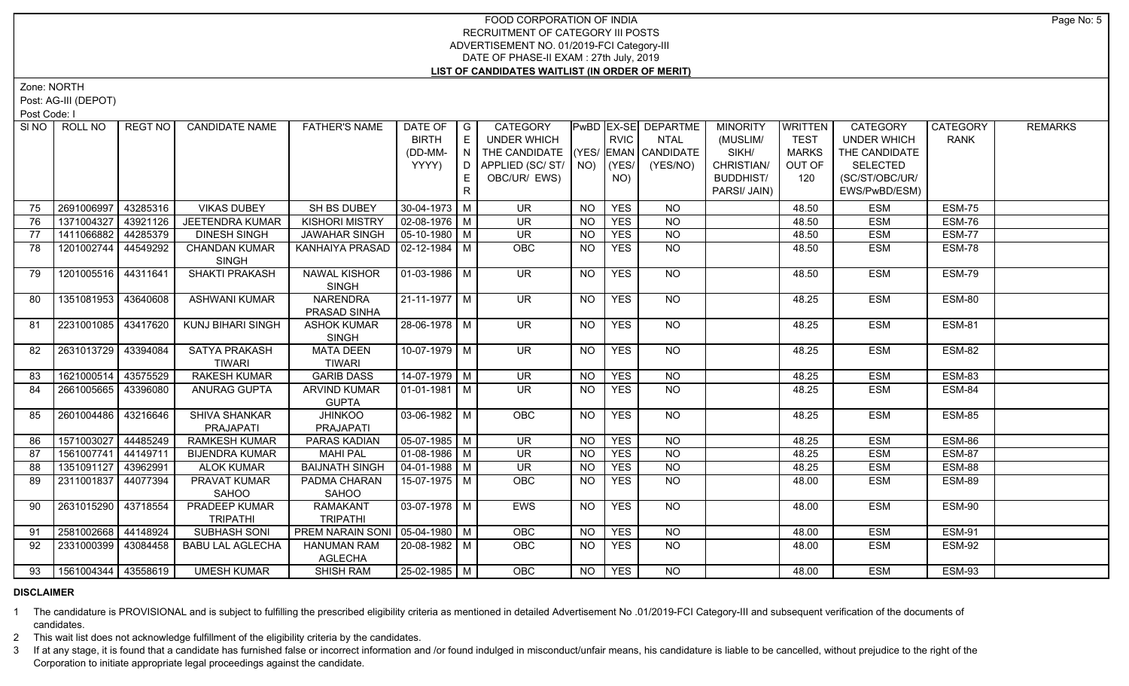Zone: NORTH

Post: AG-III (DEPOT)

Post Code: I

|    | SINO   ROLL NO        | REGT NO  | <b>CANDIDATE NAME</b>                | <b>FATHER'S NAME</b>             | DATE OF            | $\overline{\phantom{a}}$ G             | <b>CATEGORY</b>                    |           |             | PwBD   EX-SE   DEPARTME | <b>MINORITY</b>  | <b>WRITTEN</b> | <b>CATEGORY</b>    | CATEGORY      | <b>REMARKS</b> |
|----|-----------------------|----------|--------------------------------------|----------------------------------|--------------------|----------------------------------------|------------------------------------|-----------|-------------|-------------------------|------------------|----------------|--------------------|---------------|----------------|
|    |                       |          |                                      |                                  | <b>BIRTH</b>       | E                                      | <b>UNDER WHICH</b>                 |           | <b>RVIC</b> | <b>NTAL</b>             | (MUSLIM/         | <b>TEST</b>    | <b>UNDER WHICH</b> | <b>RANK</b>   |                |
|    |                       |          |                                      |                                  | (DD-MM-            | $\mathbf{1} \ \mathbf{N} \ \mathbf{1}$ | THE CANDIDATE (YES/ EMAN CANDIDATE |           |             |                         | SIKH/            | MARKS          | THE CANDIDATE      |               |                |
|    |                       |          |                                      |                                  | YYYY)              |                                        | D   APPLIED (SC/ ST/   NO)   (YES/ |           |             | (YES/NO)                | CHRISTIAN/       | OUT OF         | <b>SELECTED</b>    |               |                |
|    |                       |          |                                      |                                  |                    | E                                      | OBC/UR/ EWS)                       |           | NO)         |                         | <b>BUDDHIST/</b> | 120            | (SC/ST/OBC/UR/     |               |                |
|    |                       |          |                                      |                                  |                    | $\mathsf{R}$                           |                                    |           |             |                         | PARSI/ JAIN)     |                | EWS/PwBD/ESM)      |               |                |
| 75 | 2691006997            | 43285316 | <b>VIKAS DUBEY</b>                   | SH BS DUBEY                      | $30-04-1973$ M     |                                        | <b>UR</b>                          | <b>NO</b> | <b>YES</b>  | <b>NO</b>               |                  | 48.50          | <b>ESM</b>         | <b>ESM-75</b> |                |
| 76 | 1371004327            | 43921126 | <b>JEETENDRA KUMAR</b>               | <b>KISHORI MISTRY</b>            | $02-08-1976$ M     |                                        | UR.                                | <b>NO</b> | <b>YES</b>  | <b>NO</b>               |                  | 48.50          | <b>ESM</b>         | ESM-76        |                |
| 77 | 1411066882            | 44285379 | <b>DINESH SINGH</b>                  | <b>JAWAHAR SINGH</b>             | $05-10-1980$ M     |                                        | <b>UR</b>                          | <b>NO</b> | <b>YES</b>  | $N$ O                   |                  | 48.50          | <b>ESM</b>         | <b>ESM-77</b> |                |
| 78 | 1201002744            | 44549292 | <b>CHANDAN KUMAR</b><br><b>SINGH</b> | KANHAIYA PRASAD   02-12-1984   M |                    |                                        | <b>OBC</b>                         | <b>NO</b> | <b>YES</b>  | <b>NO</b>               |                  | 48.50          | <b>ESM</b>         | ESM-78        |                |
| 79 | 1201005516 44311641   |          | SHAKTI PRAKASH                       | <b>NAWAL KISHOR</b>              | $01-03-1986$ M     |                                        | <b>UR</b>                          | <b>NO</b> | <b>YES</b>  | <b>NO</b>               |                  | 48.50          | <b>ESM</b>         | <b>ESM-79</b> |                |
|    |                       |          |                                      | SINGH                            |                    |                                        |                                    |           |             |                         |                  |                |                    |               |                |
| 80 | 1351081953 43640608   |          | <b>ASHWANI KUMAR</b>                 | <b>NARENDRA</b>                  | $21 - 11 - 1977$ M |                                        | $\overline{\mathsf{UR}}$           | NO.       | <b>YES</b>  | NO                      |                  | 48.25          | <b>ESM</b>         | ESM-80        |                |
|    |                       |          |                                      | PRASAD SINHA                     |                    |                                        |                                    |           |             |                         |                  |                |                    |               |                |
| 81 | 2231001085 43417620   |          | <b>KUNJ BIHARI SINGH</b>             | <b>ASHOK KUMAR</b>               | 28-06-1978 M       |                                        | UR.                                | NO        | <b>YES</b>  | NO                      |                  | 48.25          | <b>ESM</b>         | <b>ESM-81</b> |                |
|    |                       |          |                                      | <b>SINGH</b>                     |                    |                                        |                                    |           |             |                         |                  |                |                    |               |                |
| 82 | 2631013729 43394084   |          | SATYA PRAKASH                        | <b>MATA DEEN</b>                 | 10-07-1979 M       |                                        | UR.                                | NO        | <b>YES</b>  | NO                      |                  | 48.25          | <b>ESM</b>         | ESM-82        |                |
|    |                       |          | <b>TIWARI</b>                        | <b>TIWARI</b>                    |                    |                                        |                                    |           |             |                         |                  |                |                    |               |                |
| 83 | 1621000514            | 43575529 | <b>RAKESH KUMAR</b>                  | <b>GARIB DASS</b>                | 14-07-1979 M       |                                        | $\overline{\mathsf{UR}}$           | <b>NO</b> | <b>YES</b>  | $N$ O                   |                  | 48.25          | <b>ESM</b>         | <b>ESM-83</b> |                |
| 84 | 2661005665   43396080 |          | <b>ANURAG GUPTA</b>                  | <b>ARVIND KUMAR</b>              | 01-01-1981   M     |                                        | UR.                                | NO.       | <b>YES</b>  | <b>NO</b>               |                  | 48.25          | <b>ESM</b>         | ESM-84        |                |
|    |                       |          |                                      | <b>GUPTA</b>                     |                    |                                        |                                    |           |             |                         |                  |                |                    |               |                |
| 85 | 2601004486 43216646   |          | SHIVA SHANKAR                        | <b>JHINKOO</b>                   | $03-06-1982$ M     |                                        | OBC                                | <b>NO</b> | <b>YES</b>  | <b>NO</b>               |                  | 48.25          | <b>ESM</b>         | ESM-85        |                |
|    |                       |          | PRAJAPATI                            | PRAJAPATI                        |                    |                                        |                                    |           |             |                         |                  |                |                    |               |                |
| 86 | 1571003027            | 44485249 | <b>RAMKESH KUMAR</b>                 | <b>PARAS KADIAN</b>              | $05-07-1985$ M     |                                        | <b>UR</b>                          | NO.       | <b>YES</b>  | <b>NO</b>               |                  | 48.25          | <b>ESM</b>         | ESM-86        |                |
| 87 | 1561007741            | 44149711 | <b>BIJENDRA KUMAR</b>                | <b>MAHI PAL</b>                  | $01-08-1986$ M     |                                        | <b>UR</b>                          | <b>NO</b> | <b>YES</b>  | $\overline{NQ}$         |                  | 48.25          | <b>ESM</b>         | <b>ESM-87</b> |                |
| 88 | 1351091127            | 43962991 | <b>ALOK KUMAR</b>                    | <b>BAIJNATH SINGH</b>            | $04 - 01 - 1988$ M |                                        | <b>UR</b>                          | <b>NO</b> | <b>YES</b>  | $\overline{N}$          |                  | 48.25          | <b>ESM</b>         | ESM-88        |                |
| 89 | 2311001837            | 44077394 | PRAVAT KUMAR                         | PADMA CHARAN                     | 15-07-1975 M       |                                        | <b>OBC</b>                         | NO.       | <b>YES</b>  | <b>NO</b>               |                  | 48.00          | <b>ESM</b>         | ESM-89        |                |
|    |                       |          | SAHOO                                | SAHOO                            |                    |                                        |                                    |           |             |                         |                  |                |                    |               |                |
| 90 | 2631015290 43718554   |          | PRADEEP KUMAR                        | <b>RAMAKANT</b>                  | $03-07-1978$ M     |                                        | EWS                                | NO.       | <b>YES</b>  | N <sub>O</sub>          |                  | 48.00          | <b>ESM</b>         | ESM-90        |                |
|    |                       |          | <b>TRIPATHI</b>                      | <b>TRIPATHI</b>                  |                    |                                        |                                    |           |             |                         |                  |                |                    |               |                |
| 91 | 2581002668 44148924   |          | <b>SUBHASH SONI</b>                  | PREM NARAIN SONI 05-04-1980   M  |                    |                                        | OBC                                | NO        | <b>YES</b>  | $N$ O                   |                  | 48.00          | <b>ESM</b>         | <b>ESM-91</b> |                |
| 92 | 2331000399 43084458   |          | <b>BABU LAL AGLECHA</b>              | <b>HANUMAN RAM</b>               | 20-08-1982 M       |                                        | <b>OBC</b>                         | <b>NO</b> | <b>YES</b>  | $N$ O                   |                  | 48.00          | <b>ESM</b>         | <b>ESM-92</b> |                |
|    |                       |          |                                      | AGLECHA                          |                    |                                        |                                    |           |             |                         |                  |                |                    |               |                |
| 93 | 1561004344 43558619   |          | <b>UMESH KUMAR</b>                   | <b>SHISH RAM</b>                 | 25-02-1985 M       |                                        | <b>OBC</b>                         | NO        | <b>YES</b>  | N <sub>O</sub>          |                  | 48.00          | <b>ESM</b>         | <b>ESM-93</b> |                |

#### **DISCLAIMER**

1 The candidature is PROVISIONAL and is subject to fulfilling the prescribed eligibility criteria as mentioned in detailed Advertisement No .01/2019-FCI Category-III and subsequent verification of the documents of candidates.

2 This wait list does not acknowledge fulfillment of the eligibility criteria by the candidates.

3 If at any stage, it is found that a candidate has furnished false or incorrect information and /or found indulged in misconduct/unfair means, his candidature is liable to be cancelled, without prejudice to the right of t Corporation to initiate appropriate legal proceedings against the candidate.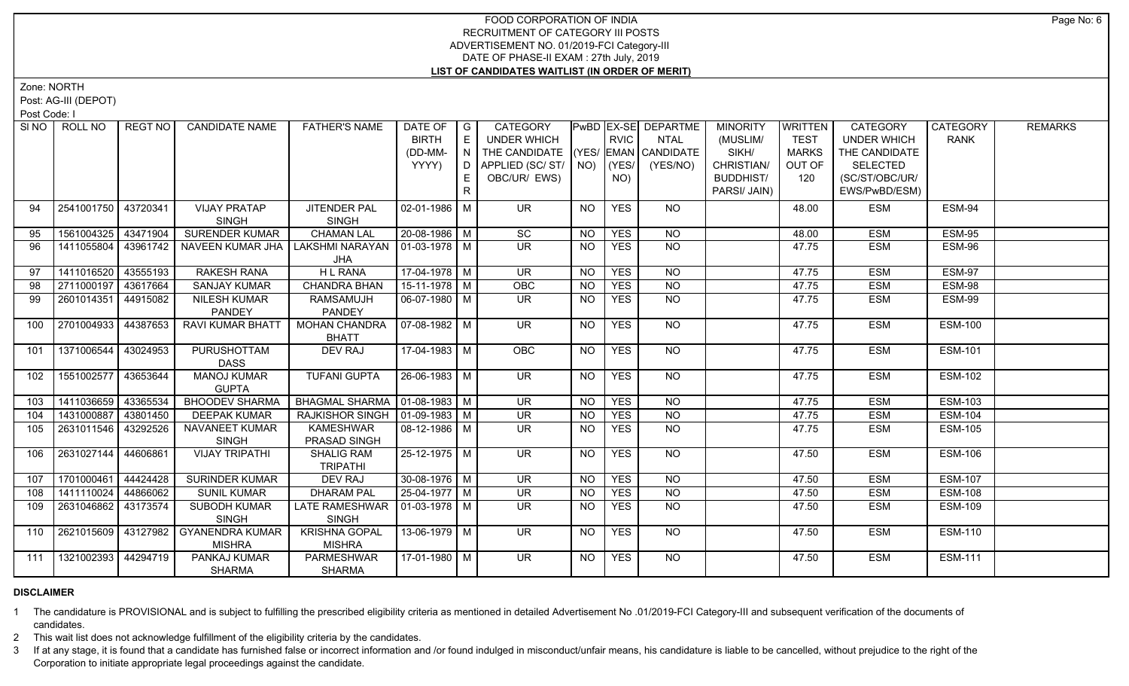Zone: NORTH

Post: AG-III (DEPOT)

Post Code: I

|     | SINO FROLL NO         | l REGT NO l | <b>CANDIDATE NAME</b>   | <b>FATHER'S NAME</b>             | DATE OF $ G $         |     | CATEGORY                           |           |             | <b>PwBD EX-SE DEPARTME</b> | <b>MINORITY</b>  | <b>WRITTEN</b> | <b>CATEGORY</b>    | CATEGORY       | <b>REMARKS</b> |
|-----|-----------------------|-------------|-------------------------|----------------------------------|-----------------------|-----|------------------------------------|-----------|-------------|----------------------------|------------------|----------------|--------------------|----------------|----------------|
|     |                       |             |                         |                                  | <b>BIRTH</b>          | E   | <b>UNDER WHICH</b>                 |           | <b>RVIC</b> | NTAL                       | (MUSLIM/         | <b>TEST</b>    | <b>UNDER WHICH</b> | <b>RANK</b>    |                |
|     |                       |             |                         |                                  | (DD-MM-               | I N | THE CANDIDATE (YES/ EMAN CANDIDATE |           |             |                            | SIKH/            | <b>MARKS</b>   | THE CANDIDATE      |                |                |
|     |                       |             |                         |                                  | YYYY)                 | D.  | APPLIED (SC/ST/ NO)                |           | (YES/       | (YES/NO)                   | CHRISTIAN/       | OUT OF         | <b>SELECTED</b>    |                |                |
|     |                       |             |                         |                                  |                       |     | OBC/UR/ EWS)                       |           | NO)         |                            | <b>BUDDHIST/</b> | 120            | (SC/ST/OBC/UR/     |                |                |
|     |                       |             |                         |                                  |                       | R   |                                    |           |             |                            | PARSI/ JAIN)     |                | EWS/PwBD/ESM)      |                |                |
| 94  | 2541001750 43720341   |             | <b>VIJAY PRATAP</b>     | JITENDER PAL                     | 02-01-1986   M        |     | <b>UR</b>                          | <b>NO</b> | <b>YES</b>  | NO                         |                  | 48.00          | <b>ESM</b>         | ESM-94         |                |
|     |                       |             | <b>SINGH</b>            | <b>SINGH</b>                     |                       |     |                                    |           |             |                            |                  |                |                    |                |                |
| 95  | 1561004325 43471904   |             | <b>SURENDER KUMAR</b>   | <b>CHAMAN LAL</b>                | 20-08-1986 M          |     | SC                                 | <b>NO</b> | <b>YES</b>  | <b>NO</b>                  |                  | 48.00          | <b>ESM</b>         | <b>ESM-95</b>  |                |
| 96  | 1411055804 43961742   |             | NAVEEN KUMAR JHA        | LAKSHMI NARAYAN   01-03-1978   M |                       |     | UR.                                | <b>NO</b> | <b>YES</b>  | NO.                        |                  | 47.75          | ESM                | ESM-96         |                |
|     |                       |             |                         | JHA                              |                       |     |                                    |           |             |                            |                  |                |                    |                |                |
| 97  | 1411016520            | 43555193    | <b>RAKESH RANA</b>      | H L RANA                         | $17-04-1978$ M        |     | UR.                                | <b>NO</b> | <b>YES</b>  | NO                         |                  | 47.75          | <b>ESM</b>         | <b>ESM-97</b>  |                |
| 98  | 2711000197 43617664   |             | <b>SANJAY KUMAR</b>     | <b>CHANDRA BHAN</b>              | 15-11-1978   M        |     | OBC                                | <b>NO</b> | <b>YES</b>  | $\overline{NO}$            |                  | 47.75          | <b>ESM</b>         | <b>ESM-98</b>  |                |
| 99  | 2601014351            | 44915082    | NILESH KUMAR            | <b>RAMSAMUJH</b>                 | 06-07-1980   M        |     | UR.                                | NO.       | <b>YES</b>  | NO                         |                  | 47.75          | ESM                | ESM-99         |                |
|     |                       |             | PANDEY                  | PANDEY                           |                       |     |                                    |           |             |                            |                  |                |                    |                |                |
| 100 | 2701004933   44387653 |             | <b>RAVI KUMAR BHATT</b> | <b>MOHAN CHANDRA</b>             | 07-08-1982   M        |     | UR.                                | <b>NO</b> | <b>YES</b>  | NO                         |                  | 47.75          | <b>ESM</b>         | <b>ESM-100</b> |                |
|     |                       |             |                         | <b>BHATT</b>                     |                       |     |                                    |           |             |                            |                  |                |                    |                |                |
| 101 | 1371006544 43024953   |             | <b>PURUSHOTTAM</b>      | DEV RAJ                          | $17-04-1983$ M        |     | OBC                                | <b>NO</b> | <b>YES</b>  | NO                         |                  | 47.75          | ESM                | <b>ESM-101</b> |                |
|     |                       |             | <b>DASS</b>             |                                  |                       |     |                                    |           |             |                            |                  |                |                    |                |                |
| 102 | 1551002577 43653644   |             | <b>MANOJ KUMAR</b>      | <b>TUFANI GUPTA</b>              | $26 - 06 - 1983$ M    |     | UR                                 | <b>NO</b> | <b>YES</b>  | <b>NO</b>                  |                  | 47.75          | ESM                | <b>ESM-102</b> |                |
|     |                       |             | <b>GUPTA</b>            |                                  |                       |     |                                    |           |             |                            |                  |                |                    |                |                |
| 103 | 1411036659 43365534   |             | <b>BHOODEV SHARMA</b>   | BHAGMAL SHARMA   01-08-1983   M  |                       |     | <b>UR</b>                          | <b>NO</b> | <b>YES</b>  | <b>NO</b>                  |                  | 47.75          | <b>ESM</b>         | <b>ESM-103</b> |                |
| 104 | 1431000887   43801450 |             | <b>DEEPAK KUMAR</b>     | RAJKISHOR SINGH   01-09-1983   M |                       |     | UR.                                | NO.       | <b>YES</b>  | <b>NO</b>                  |                  | 47.75          | <b>ESM</b>         | <b>ESM-104</b> |                |
| 105 | 2631011546 43292526   |             | NAVANEET KUMAR          | <b>KAMESHWAR</b>                 | 08-12-1986   M        |     | <b>UR</b>                          | <b>NO</b> | <b>YES</b>  | <b>NO</b>                  |                  | 47.75          | ESM                | <b>ESM-105</b> |                |
|     |                       |             | <b>SINGH</b>            | PRASAD SINGH                     |                       |     |                                    |           |             |                            |                  |                |                    |                |                |
| 106 | 2631027144 44606861   |             | <b>VIJAY TRIPATHI</b>   | <b>SHALIG RAM</b>                | 25-12-1975 M          |     | $\overline{\mathsf{UR}}$           | <b>NO</b> | <b>YES</b>  | NO                         |                  | 47.50          | ESM                | <b>ESM-106</b> |                |
|     |                       |             |                         | <b>TRIPATHI</b>                  |                       |     |                                    |           |             |                            |                  |                |                    |                |                |
| 107 | 1701000461            | 44424428    | <b>SURINDER KUMAR</b>   | <b>DEV RAJ</b>                   | $30 - 08 - 1976$ M    |     | $\overline{\mathsf{UR}}$           | <b>NO</b> | <b>YES</b>  | NO                         |                  | 47.50          | <b>ESM</b>         | <b>ESM-107</b> |                |
| 108 | 1411110024            | 44866062    | <b>SUNIL KUMAR</b>      | <b>DHARAM PAL</b>                | $\sqrt{25-04-1977}$ M |     | UR.                                | NO.       | <b>YES</b>  | <b>NO</b>                  |                  | 47.50          | <b>ESM</b>         | <b>ESM-108</b> |                |
| 109 | 2631046862 3173574    |             | SUBODH KUMAR            | LATE RAMESHWAR   01-03-1978   M  |                       |     | $\overline{\mathsf{UR}}$           | <b>NO</b> | <b>YES</b>  | $N$ O                      |                  | 47.50          | ESM                | <b>ESM-109</b> |                |
|     |                       |             | <b>SINGH</b>            | <b>SINGH</b>                     |                       |     |                                    |           |             |                            |                  |                |                    |                |                |
| 110 | 2621015609   43127982 |             | GYANENDRA KUMAR         | <b>KRISHNA GOPAL</b>             | 13-06-1979   M        |     | UR.                                | <b>NO</b> | <b>YES</b>  | NO.                        |                  | 47.50          | ESM                | <b>ESM-110</b> |                |
|     |                       |             | <b>MISHRA</b>           | <b>MISHRA</b>                    |                       |     |                                    |           |             |                            |                  |                |                    |                |                |
| 111 | 1321002393 44294719   |             | PANKAJ KUMAR            | <b>PARMESHWAR</b>                | 17-01-1980   M        |     | UR.                                | <b>NO</b> | <b>YES</b>  | NO                         |                  | 47.50          | ESM                | <b>ESM-111</b> |                |
|     |                       |             | <b>SHARMA</b>           | <b>SHARMA</b>                    |                       |     |                                    |           |             |                            |                  |                |                    |                |                |

# **DISCLAIMER**

1 The candidature is PROVISIONAL and is subject to fulfilling the prescribed eligibility criteria as mentioned in detailed Advertisement No .01/2019-FCI Category-III and subsequent verification of the documents of candidates.

2 This wait list does not acknowledge fulfillment of the eligibility criteria by the candidates.

3 If at any stage, it is found that a candidate has furnished false or incorrect information and /or found indulged in misconduct/unfair means, his candidature is liable to be cancelled, without prejudice to the right of t Corporation to initiate appropriate legal proceedings against the candidate.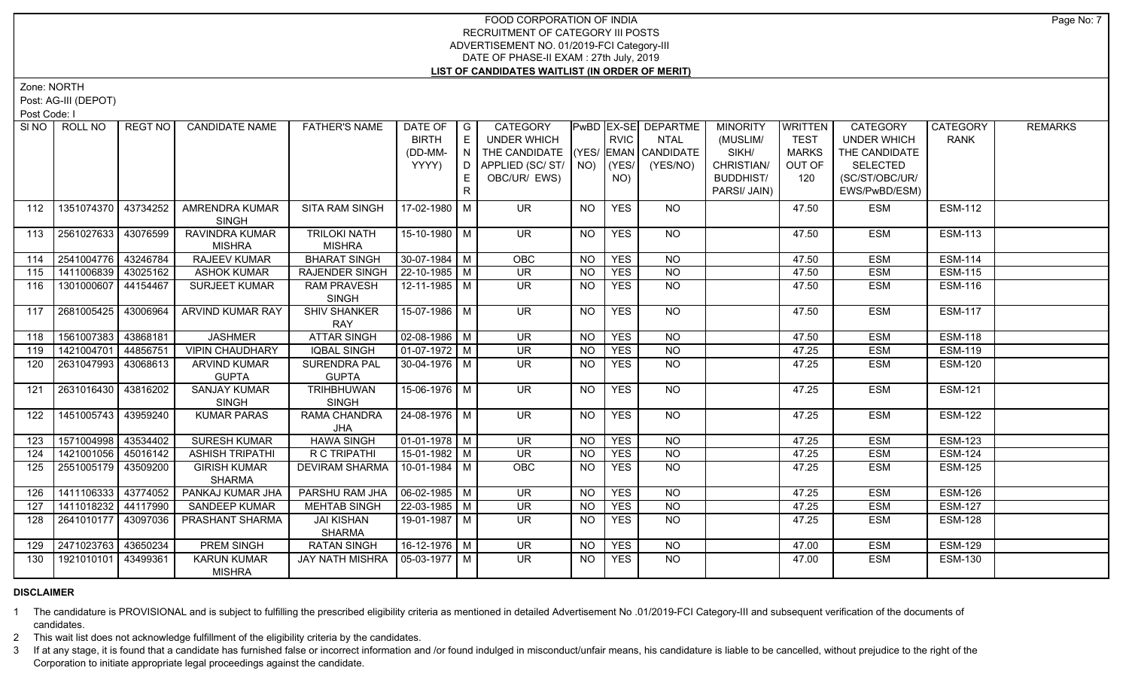Zone: NORTH

Post: AG-III (DEPOT)

Post Code: I

|     | SINO ROLL NO          | REGT NO   | <b>CANDIDATE NAME</b>                 | <b>FATHER'S NAME</b>               | DATE OF $ G $         |              | CATEGORY                           |           |             | <b>PwBD EX-SE DEPARTME</b> | <b>MINORITY</b>  | <b>WRITTEN</b> | CATEGORY           | CATEGORY       | <b>REMARKS</b> |
|-----|-----------------------|-----------|---------------------------------------|------------------------------------|-----------------------|--------------|------------------------------------|-----------|-------------|----------------------------|------------------|----------------|--------------------|----------------|----------------|
|     |                       |           |                                       |                                    | <b>BIRTH</b>          | E            | <b>UNDER WHICH</b>                 |           | <b>RVIC</b> | <b>NTAL</b>                | (MUSLIM/         | <b>TEST</b>    | <b>UNDER WHICH</b> | <b>RANK</b>    |                |
|     |                       |           |                                       |                                    | (DD-MM-               | $\mathsf{N}$ | THE CANDIDATE (YES/ EMAN CANDIDATE |           |             |                            | SIKH/            | <b>MARKS</b>   | THE CANDIDATE      |                |                |
|     |                       |           |                                       |                                    | YYYY)                 | D            | APPLIED (SC/ ST/   NO)             |           | (YES/       | (YES/NO)                   | CHRISTIAN/       | OUT OF         | <b>SELECTED</b>    |                |                |
|     |                       |           |                                       |                                    |                       |              | OBC/UR/ EWS)                       |           | NO)         |                            | <b>BUDDHIST/</b> | 120            | (SC/ST/OBC/UR/     |                |                |
|     |                       |           |                                       |                                    |                       | R.           |                                    |           |             |                            | PARSI/ JAIN)     |                | EWS/PwBD/ESM)      |                |                |
| 112 | 1351074370            | 43734252  | <b>AMRENDRA KUMAR</b><br><b>SINGH</b> | SITA RAM SINGH                     | 17-02-1980 M          |              | UR.                                | NO        | <b>YES</b>  | NO                         |                  | 47.50          | <b>ESM</b>         | <b>ESM-112</b> |                |
| 113 | 2561027633            | 43076599  | RAVINDRA KUMAR                        | <b>TRILOKI NATH</b>                | 15-10-1980 M          |              | <b>UR</b>                          | NO        | <b>YES</b>  | NO                         |                  | 47.50          | ESM                | <b>ESM-113</b> |                |
|     |                       |           | <b>MISHRA</b>                         | <b>MISHRA</b>                      |                       |              |                                    |           |             |                            |                  |                |                    |                |                |
| 114 | 2541004776 43246784   |           | <b>RAJEEV KUMAR</b>                   | <b>BHARAT SINGH</b>                | $30-07-1984$ M        |              | OBC                                | <b>NO</b> | <b>YES</b>  | <b>NO</b>                  |                  | 47.50          | ESM                | <b>ESM-114</b> |                |
| 115 | 1411006839            | 143025162 | <b>ASHOK KUMAR</b>                    | <b>RAJENDER SINGH</b>              | $ 22 - 10 - 1985 $ M  |              | <b>UR</b>                          | <b>NO</b> | <b>YES</b>  | $\overline{NQ}$            |                  | 47.50          | <b>ESM</b>         | <b>ESM-115</b> |                |
| 116 | 1301000607            | 44154467  | SURJEET KUMAR                         | <b>RAM PRAVESH</b><br><b>SINGH</b> | 12-11-1985 M          |              | <b>UR</b>                          | <b>NO</b> | <b>YES</b>  | N <sub>O</sub>             |                  | 47.50          | <b>ESM</b>         | <b>ESM-116</b> |                |
| 117 | 2681005425            | 43006964  | <b>ARVIND KUMAR RAY</b>               | <b>SHIV SHANKER</b><br><b>RAY</b>  | 15-07-1986 M          |              | $\overline{\mathsf{UR}}$           | NO.       | <b>YES</b>  | $N$ O                      |                  | 47.50          | <b>ESM</b>         | <b>ESM-117</b> |                |
| 118 | 1561007383            | 43868181  | <b>JASHMER</b>                        | <b>ATTAR SINGH</b>                 | $02 - 08 - 1986$ M    |              | <b>UR</b>                          | <b>NO</b> | <b>YES</b>  | <b>NO</b>                  |                  | 47.50          | ESM                | <b>ESM-118</b> |                |
| 119 | 1421004701            | 44856751  | <b>VIPIN CHAUDHARY</b>                | <b>IQBAL SINGH</b>                 | $01-07-1972$ M        |              | $\overline{\mathsf{UR}}$           | <b>NO</b> | <b>YES</b>  | N <sub>O</sub>             |                  | 47.25          | <b>ESM</b>         | <b>ESM-119</b> |                |
| 120 | 2631047993            | 43068613  | <b>ARVIND KUMAR</b>                   | <b>SURENDRA PAL</b>                | $30 - 04 - 1976$ M    |              | UR.                                | <b>NO</b> | <b>YES</b>  | $N$ O                      |                  | 47.25          | ESM                | <b>ESM-120</b> |                |
|     |                       |           | <b>GUPTA</b>                          | <b>GUPTA</b>                       |                       |              |                                    |           |             |                            |                  |                |                    |                |                |
| 121 | 2631016430 43816202   |           | <b>SANJAY KUMAR</b><br><b>SINGH</b>   | TRIHBHUWAN<br><b>SINGH</b>         | 15-06-1976 M          |              | UR.                                | NO        | <b>YES</b>  | NO                         |                  | 47.25          | ESM                | <b>ESM-121</b> |                |
| 122 | 1451005743            | 43959240  | <b>KUMAR PARAS</b>                    | RAMA CHANDRA<br>JHA                | 24-08-1976 M          |              | <b>UR</b>                          | NO.       | <b>YES</b>  | NO                         |                  | 47.25          | <b>ESM</b>         | <b>ESM-122</b> |                |
| 123 | 1571004998 43534402   |           | <b>SURESH KUMAR</b>                   | <b>HAWA SINGH</b>                  | $01-01-1978$ M        |              | <b>UR</b>                          | <b>NO</b> | <b>YES</b>  | <b>NO</b>                  |                  | 47.25          | <b>ESM</b>         | <b>ESM-123</b> |                |
| 124 | 1421001056 45016142   |           | <b>ASHISH TRIPATHI</b>                | R C TRIPATHI                       | $15-01-1982$ M        |              | $\overline{\mathsf{UR}}$           | <b>NO</b> | <b>YES</b>  | $\overline{NQ}$            |                  | 47.25          | <b>ESM</b>         | <b>ESM-124</b> |                |
| 125 | 2551005179   43509200 |           | <b>GIRISH KUMAR</b><br><b>SHARMA</b>  | <b>DEVIRAM SHARMA</b>              | 10-01-1984 M          |              | <b>OBC</b>                         | NO.       | <b>YES</b>  | NO                         |                  | 47.25          | ESM                | <b>ESM-125</b> |                |
| 126 | 1411106333 43774052   |           | PANKAJ KUMAR JHA                      | PARSHU RAM JHA                     | $\sqrt{06-02-1985}$ M |              | $\overline{\mathsf{UR}}$           | <b>NO</b> | <b>YES</b>  | $N$ O                      |                  | 47.25          | <b>ESM</b>         | <b>ESM-126</b> |                |
| 127 | 1411018232            | 44117990  | SANDEEP KUMAR                         | <b>MEHTAB SINGH</b>                | 22-03-1985   M        |              | <b>UR</b>                          | NO.       | <b>YES</b>  | <b>NO</b>                  |                  | 47.25          | <b>ESM</b>         | <b>ESM-127</b> |                |
| 128 | 2641010177            | 43097036  | PRASHANT SHARMA                       | <b>JAI KISHAN</b><br><b>SHARMA</b> | 19-01-1987 M          |              | $\overline{\mathsf{UR}}$           | <b>NO</b> | <b>YES</b>  | $\overline{NQ}$            |                  | 47.25          | <b>ESM</b>         | <b>ESM-128</b> |                |
| 129 | 2471023763            | 43650234  | <b>PREM SINGH</b>                     | <b>RATAN SINGH</b>                 | $16-12-1976$ M        |              | <b>UR</b>                          | <b>NO</b> | <b>YES</b>  | <b>NO</b>                  |                  | 47.00          | <b>ESM</b>         | <b>ESM-129</b> |                |
| 130 | 1921010101            | 43499361  | <b>KARUN KUMAR</b><br><b>MISHRA</b>   | JAY NATH MISHRA                    | $105-03-1977$ M       |              | <b>UR</b>                          | NO.       | <b>YES</b>  | $N$ <sup>O</sup>           |                  | 47.00          | ESM                | <b>ESM-130</b> |                |

# **DISCLAIMER**

1 The candidature is PROVISIONAL and is subject to fulfilling the prescribed eligibility criteria as mentioned in detailed Advertisement No .01/2019-FCI Category-III and subsequent verification of the documents of candidates.

2 This wait list does not acknowledge fulfillment of the eligibility criteria by the candidates.

3 If at any stage, it is found that a candidate has furnished false or incorrect information and /or found indulged in misconduct/unfair means, his candidature is liable to be cancelled, without prejudice to the right of t Corporation to initiate appropriate legal proceedings against the candidate.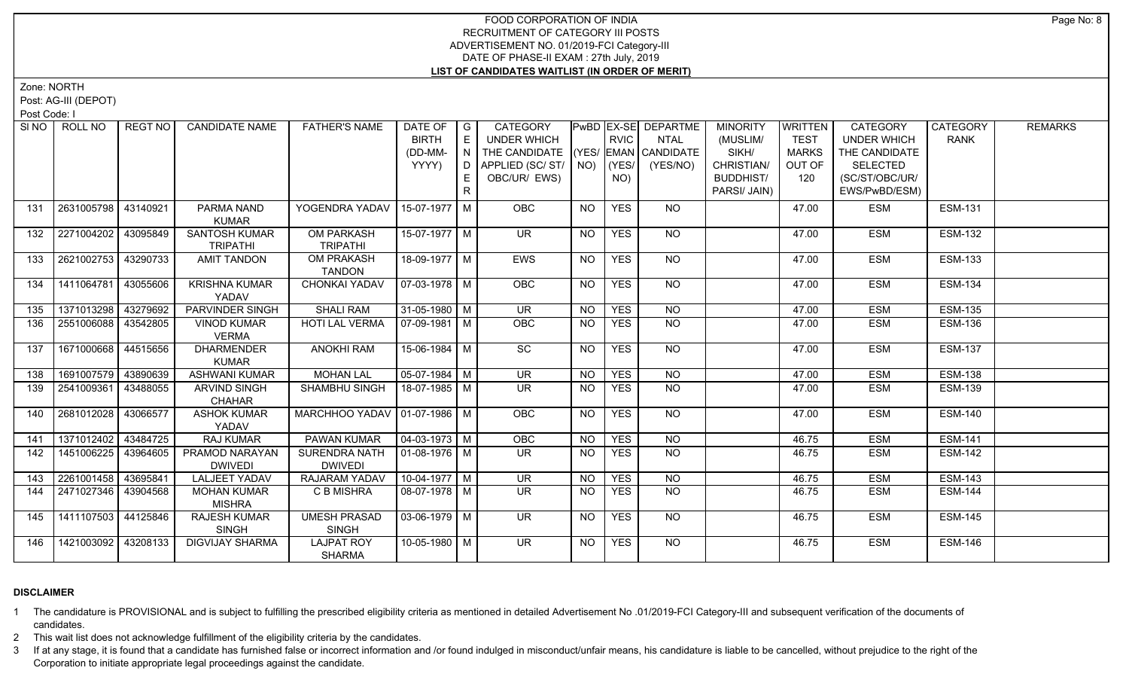Zone: NORTH

Post: AG-III (DEPOT)

Post Code: I

|     | SINO   ROLL NO        | REGT NO  | <b>CANDIDATE NAME</b>                | <b>FATHER'S NAME</b>                 | DATE OF G<br><b>BIRTH</b><br>(DD-MM-<br>YYYY) | E<br>N<br>D<br>E. | CATEGORY<br><b>UNDER WHICH</b><br>THE CANDIDATE (YES/ EMAN CANDIDATE<br>APPLIED (SC/ST/<br>OBC/UR/ EWS) | $NO)$ (YES/ | <b>RVIC</b><br>NO) | PwBD EX-SE DEPARTME<br><b>NTAL</b><br>(YES/NO) | <b>MINORITY</b><br>(MUSLIM/<br>SIKH/<br>CHRISTIAN/<br><b>BUDDHIST/</b> | <b>WRITTEN</b><br><b>TEST</b><br><b>MARKS</b><br>OUT OF<br>120 | CATEGORY<br><b>UNDER WHICH</b><br>THE CANDIDATE<br><b>SELECTED</b><br>(SC/ST/OBC/UR/ | CATEGORY<br><b>RANK</b> | <b>REMARKS</b> |
|-----|-----------------------|----------|--------------------------------------|--------------------------------------|-----------------------------------------------|-------------------|---------------------------------------------------------------------------------------------------------|-------------|--------------------|------------------------------------------------|------------------------------------------------------------------------|----------------------------------------------------------------|--------------------------------------------------------------------------------------|-------------------------|----------------|
| 131 | 2631005798            | 43140921 | PARMA NAND                           | YOGENDRA YADAV                       | 15-07-1977 M                                  |                   | <b>OBC</b>                                                                                              | <b>NO</b>   | <b>YES</b>         | <b>NO</b>                                      | PARSI/ JAIN)                                                           | 47.00                                                          | EWS/PwBD/ESM)<br><b>ESM</b>                                                          | <b>ESM-131</b>          |                |
|     |                       |          | <b>KUMAR</b>                         |                                      |                                               |                   |                                                                                                         |             |                    |                                                |                                                                        |                                                                |                                                                                      |                         |                |
| 132 | 2271004202            | 43095849 | SANTOSH KUMAR<br><b>TRIPATHI</b>     | <b>OM PARKASH</b><br><b>TRIPATHI</b> | 15-07-1977 M                                  |                   | <b>UR</b>                                                                                               | <b>NO</b>   | <b>YES</b>         | NO                                             |                                                                        | 47.00                                                          | <b>ESM</b>                                                                           | <b>ESM-132</b>          |                |
| 133 | 2621002753            | 43290733 | <b>AMIT TANDON</b>                   | OM PRAKASH<br><b>TANDON</b>          | 18-09-1977 M                                  |                   | EWS                                                                                                     | <b>NO</b>   | <b>YES</b>         | N <sub>O</sub>                                 |                                                                        | 47.00                                                          | <b>ESM</b>                                                                           | <b>ESM-133</b>          |                |
| 134 | 1411064781            | 43055606 | <b>KRISHNA KUMAR</b><br>YADAV        | CHONKAI YADAV                        | $07-03-1978$ M                                |                   | OBC                                                                                                     | NO.         | <b>YES</b>         | NO                                             |                                                                        | 47.00                                                          | <b>ESM</b>                                                                           | <b>ESM-134</b>          |                |
| 135 | 1371013298 43279692   |          | PARVINDER SINGH                      | <b>SHALI RAM</b>                     | $31-05-1980$ M                                |                   | $\overline{\mathsf{UR}}$                                                                                | NO.         | <b>YES</b>         | $N$ O                                          |                                                                        | 47.00                                                          | <b>ESM</b>                                                                           | <b>ESM-135</b>          |                |
| 136 | 2551006088 33542805   |          | <b>VINOD KUMAR</b><br><b>VERMA</b>   | HOTI LAL VERMA                       | $07-09-1981$ M                                |                   | <b>OBC</b>                                                                                              | <b>NO</b>   | <b>YES</b>         | N <sub>O</sub>                                 |                                                                        | 47.00                                                          | <b>ESM</b>                                                                           | <b>ESM-136</b>          |                |
| 137 | 1671000668 44515656   |          | <b>DHARMENDER</b><br><b>KUMAR</b>    | <b>ANOKHI RAM</b>                    | 15-06-1984 M                                  |                   | SC                                                                                                      | <b>NO</b>   | <b>YES</b>         | NO                                             |                                                                        | 47.00                                                          | <b>ESM</b>                                                                           | <b>ESM-137</b>          |                |
| 138 | 1691007579 43890639   |          | <b>ASHWANI KUMAR</b>                 | <b>MOHAN LAL</b>                     | $05-07-1984$ M                                |                   | <b>UR</b>                                                                                               | <b>NO</b>   | <b>YES</b>         | <b>NO</b>                                      |                                                                        | 47.00                                                          | <b>ESM</b>                                                                           | <b>ESM-138</b>          |                |
| 139 | 2541009361            | 43488055 | <b>ARVIND SINGH</b><br><b>CHAHAR</b> | SHAMBHU SINGH                        | 18-07-1985 M                                  |                   | <b>UR</b>                                                                                               | <b>NO</b>   | <b>YES</b>         | NO                                             |                                                                        | 47.00                                                          | <b>ESM</b>                                                                           | <b>ESM-139</b>          |                |
| 140 | 2681012028            | 43066577 | <b>ASHOK KUMAR</b><br>YADAV          | MARCHHOO YADAV   01-07-1986   M      |                                               |                   | OBC                                                                                                     | NO          | <b>YES</b>         | NO                                             |                                                                        | 47.00                                                          | <b>ESM</b>                                                                           | <b>ESM-140</b>          |                |
| 141 | 1371012402 43484725   |          | RAJ KUMAR                            | <b>PAWAN KUMAR</b>                   | $\boxed{04-03-1973}$ M                        |                   | OBC                                                                                                     | NO.         | <b>YES</b>         | $N$ <sup><math>\overline{O}</math></sup>       |                                                                        | 46.75                                                          | <b>ESM</b>                                                                           | <b>ESM-141</b>          |                |
| 142 | 1451006225            | 43964605 | PRAMOD NARAYAN<br><b>DWIVEDI</b>     | SURENDRA NATH<br><b>DWIVEDI</b>      | $ 01-08-1976 M$                               |                   | $\overline{\mathsf{UR}}$                                                                                | <b>NO</b>   | <b>YES</b>         | <b>NO</b>                                      |                                                                        | 46.75                                                          | <b>ESM</b>                                                                           | <b>ESM-142</b>          |                |
| 143 | 2261001458 43695841   |          | <b>LALJEET YADAV</b>                 | <b>RAJARAM YADAV</b>                 | $10-04-1977$ M                                |                   | UR                                                                                                      | $N$ O       | <b>YES</b>         | N <sub>O</sub>                                 |                                                                        | 46.75                                                          | <b>ESM</b>                                                                           | <b>ESM-143</b>          |                |
| 144 | 2471027346   43904568 |          | <b>MOHAN KUMAR</b><br><b>MISHRA</b>  | C B MISHRA                           | 08-07-1978 M                                  |                   | UR.                                                                                                     | <b>NO</b>   | <b>YES</b>         | N <sub>O</sub>                                 |                                                                        | 46.75                                                          | <b>ESM</b>                                                                           | <b>ESM-144</b>          |                |
| 145 | $1411107503$ 44125846 |          | <b>RAJESH KUMAR</b><br><b>SINGH</b>  | <b>UMESH PRASAD</b><br><b>SINGH</b>  | $03-06-1979$ M                                |                   | UR.                                                                                                     | NO          | <b>YES</b>         | NO                                             |                                                                        | 46.75                                                          | <b>ESM</b>                                                                           | <b>ESM-145</b>          |                |
| 146 | 1421003092 43208133   |          | <b>DIGVIJAY SHARMA</b>               | <b>LAJPAT ROY</b><br><b>SHARMA</b>   | 10-05-1980 M                                  |                   | <b>UR</b>                                                                                               | NO          | <b>YES</b>         | <b>NO</b>                                      |                                                                        | 46.75                                                          | <b>ESM</b>                                                                           | <b>ESM-146</b>          |                |

# **DISCLAIMER**

1 The candidature is PROVISIONAL and is subject to fulfilling the prescribed eligibility criteria as mentioned in detailed Advertisement No .01/2019-FCI Category-III and subsequent verification of the documents of candidates.

2 This wait list does not acknowledge fulfillment of the eligibility criteria by the candidates.

3 If at any stage, it is found that a candidate has furnished false or incorrect information and /or found indulged in misconduct/unfair means, his candidature is liable to be cancelled, without prejudice to the right of t Corporation to initiate appropriate legal proceedings against the candidate.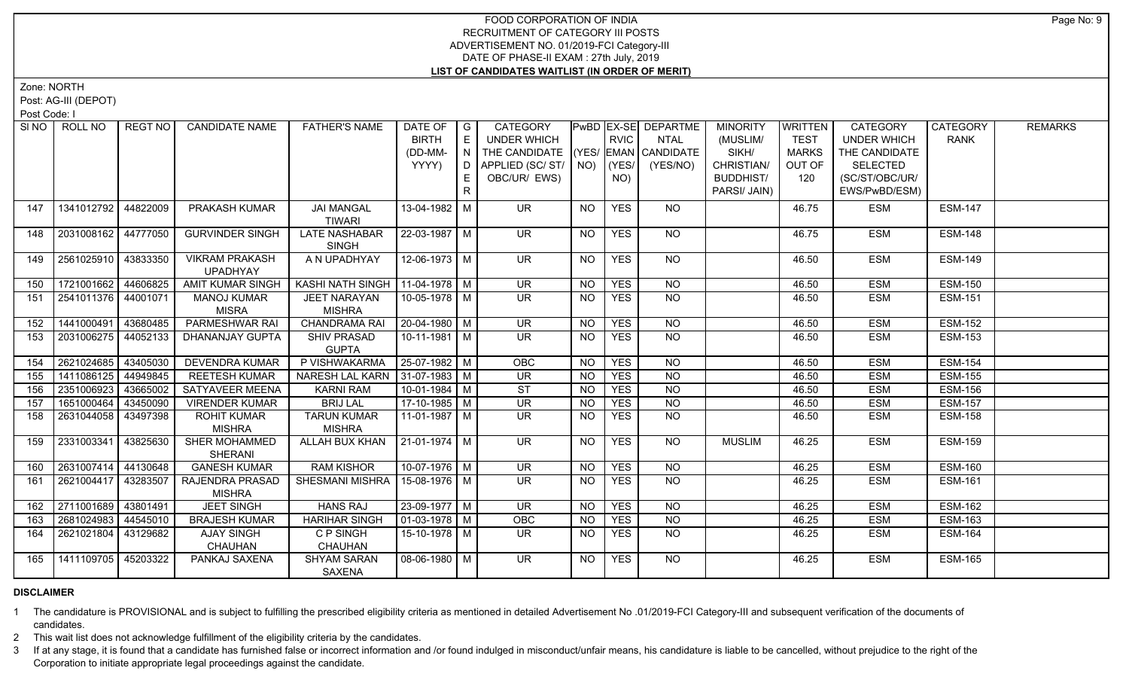Zone: NORTH

Post: AG-III (DEPOT)

Post Code: I

|     | SINO   ROLL NO        | REGT NO  | <b>CANDIDATE NAME</b>    | <b>FATHER'S NAME</b>              | DATE OF   G<br><b>BIRTH</b> | E               | <b>CATEGORY</b><br><b>UNDER WHICH</b> |                 | <b>RVIC</b> | <b>PwBD EX-SE DEPARTME</b><br><b>NTAL</b> | <b>MINORITY</b><br>(MUSLIM/ | WRITTEN<br><b>TEST</b> | <b>CATEGORY</b><br><b>UNDER WHICH</b> | CATEGORY<br><b>RANK</b> | <b>REMARKS</b> |
|-----|-----------------------|----------|--------------------------|-----------------------------------|-----------------------------|-----------------|---------------------------------------|-----------------|-------------|-------------------------------------------|-----------------------------|------------------------|---------------------------------------|-------------------------|----------------|
|     |                       |          |                          |                                   | (DD-MM-                     | $\mathsf{LN}$ 1 | THE CANDIDATE (YES/ EMAN CANDIDATE    |                 |             |                                           | SIKH/                       | <b>MARKS</b>           | THE CANDIDATE                         |                         |                |
|     |                       |          |                          |                                   | YYYY)                       | D               | APPLIED (SC/ ST/   NO)   (YES/        |                 |             | (YES/NO)                                  | CHRISTIAN/                  | OUT OF                 | <b>SELECTED</b>                       |                         |                |
|     |                       |          |                          |                                   |                             | E.              | OBC/UR/ EWS)                          |                 | NO)         |                                           | <b>BUDDHIST/</b>            | 120                    | (SC/ST/OBC/UR/                        |                         |                |
|     |                       |          |                          |                                   |                             | $\mathsf{R}$    |                                       |                 |             |                                           | PARSI/ JAIN)                |                        | EWS/PwBD/ESM)                         |                         |                |
| 147 | 1341012792 44822009   |          | <b>PRAKASH KUMAR</b>     | <b>JAI MANGAL</b>                 | 13-04-1982 M                |                 | UR.                                   | NO              | <b>YES</b>  | NO.                                       |                             | 46.75                  | <b>ESM</b>                            | <b>ESM-147</b>          |                |
|     |                       |          |                          | <b>TIWARI</b>                     |                             |                 |                                       |                 |             |                                           |                             |                        |                                       |                         |                |
| 148 | 2031008162 44777050   |          | <b>GURVINDER SINGH</b>   | <b>LATE NASHABAR</b>              | 22-03-1987   M              |                 | <b>UR</b>                             | <b>NO</b>       | <b>YES</b>  | NO                                        |                             | 46.75                  | <b>ESM</b>                            | <b>ESM-148</b>          |                |
|     |                       |          |                          | <b>SINGH</b>                      |                             |                 |                                       |                 |             |                                           |                             |                        |                                       |                         |                |
| 149 | 2561025910   43833350 |          | <b>VIKRAM PRAKASH</b>    | A N UPADHYAY                      | 12-06-1973 M                |                 | UR.                                   | NO              | <b>YES</b>  | NO.                                       |                             | 46.50                  | <b>ESM</b>                            | <b>ESM-149</b>          |                |
|     |                       |          | <b>UPADHYAY</b>          |                                   |                             |                 |                                       |                 |             |                                           |                             |                        |                                       |                         |                |
| 150 | 1721001662 44606825   |          | <b>AMIT KUMAR SINGH</b>  | KASHI NATH SINGH   11-04-1978   M |                             |                 | <b>UR</b>                             | <b>NO</b>       | <b>YES</b>  | <b>NO</b>                                 |                             | 46.50                  | <b>ESM</b>                            | <b>ESM-150</b>          |                |
| 151 | 2541011376   44001071 |          | <b>MANOJ KUMAR</b>       | <b>JEET NARAYAN</b>               | 10-05-1978 M                |                 | UR.                                   | <b>NO</b>       | <b>YES</b>  | <b>NO</b>                                 |                             | 46.50                  | <b>ESM</b>                            | <b>ESM-151</b>          |                |
|     |                       |          | <b>MISRA</b>             | <b>MISHRA</b>                     |                             |                 |                                       |                 |             |                                           |                             |                        |                                       |                         |                |
| 152 | 1441000491            | 43680485 | PARMESHWAR RAI           | <b>CHANDRAMA RAI</b>              | $20-04-1980$ M              |                 | $\overline{\mathsf{UR}}$              | <b>NO</b>       | <b>YES</b>  | $N$ O                                     |                             | 46.50                  | <b>ESM</b>                            | <b>ESM-152</b>          |                |
| 153 | 2031006275            | 44052133 | DHANANJAY GUPTA          | <b>SHIV PRASAD</b>                | $10-11-1981$ M              |                 | $\overline{\mathsf{UR}}$              | N <sub>O</sub>  | <b>YES</b>  | <b>NO</b>                                 |                             | 46.50                  | <b>ESM</b>                            | <b>ESM-153</b>          |                |
|     |                       |          |                          | <b>GUPTA</b>                      |                             |                 |                                       |                 |             |                                           |                             |                        |                                       |                         |                |
| 154 | 2621024685            | 43405030 | <b>DEVENDRA KUMAR</b>    | P VISHWAKARMA                     | $25-07-1982$ M              |                 | OBC                                   | <b>NO</b>       | <b>YES</b>  | <b>NO</b>                                 |                             | 46.50                  | <b>ESM</b>                            | <b>ESM-154</b>          |                |
| 155 | 1411086125            | 44949845 | <b>REETESH KUMAR</b>     | NARESH LAL KARN 31-07-1983   M    |                             |                 | UR                                    | N <sub>O</sub>  | <b>YES</b>  | N <sub>O</sub>                            |                             | 46.50                  | <b>ESM</b>                            | <b>ESM-155</b>          |                |
| 156 | 2351006923            | 43665002 | SATYAVEER MEENA          | <b>KARNI RAM</b>                  | $10-01-1984$ M              |                 | ST                                    | NO              | <b>YES</b>  | $N$ O                                     |                             | 46.50                  | <b>ESM</b>                            | <b>ESM-156</b>          |                |
| 157 | 1651000464            | 43450090 | <b>VIRENDER KUMAR</b>    | <b>BRIJ LAL</b>                   | 17-10-1985 M                |                 | <b>UR</b>                             | <b>NO</b>       | <b>YES</b>  | <b>NO</b>                                 |                             | 46.50                  | <b>ESM</b>                            | <b>ESM-157</b>          |                |
| 158 | 2631044058            | 43497398 | <b>ROHIT KUMAR</b>       | <b>TARUN KUMAR</b>                | 11-01-1987   M              |                 | UR.                                   | NO              | <b>YES</b>  | N <sub>O</sub>                            |                             | 46.50                  | <b>ESM</b>                            | <b>ESM-158</b>          |                |
|     |                       |          | <b>MISHRA</b>            | <b>MISHRA</b>                     |                             |                 |                                       |                 |             |                                           |                             |                        |                                       |                         |                |
| 159 | 2331003341            | 43825630 | SHER MOHAMMED<br>SHERANI | ALLAH BUX KHAN                    | 21-01-1974 M                |                 | <b>UR</b>                             | NO              | <b>YES</b>  | <b>NO</b>                                 | <b>MUSLIM</b>               | 46.25                  | <b>ESM</b>                            | <b>ESM-159</b>          |                |
| 160 | 2631007414            | 44130648 | <b>GANESH KUMAR</b>      | <b>RAM KISHOR</b>                 | 10-07-1976 M                |                 | $\overline{\mathsf{UR}}$              | $\overline{NO}$ | <b>YES</b>  | $\overline{NQ}$                           |                             | 46.25                  | <b>ESM</b>                            | <b>ESM-160</b>          |                |
| 161 | 2621004417            | 43283507 | RAJENDRA PRASAD          | SHESMANI MISHRA                   | 15-08-1976 M                |                 | UR.                                   | <b>NO</b>       | <b>YES</b>  | $\overline{NQ}$                           |                             | 46.25                  | <b>ESM</b>                            | <b>ESM-161</b>          |                |
|     |                       |          | <b>MISHRA</b>            |                                   |                             |                 |                                       |                 |             |                                           |                             |                        |                                       |                         |                |
| 162 | 2711001689 43801491   |          | <b>JEET SINGH</b>        | <b>HANS RAJ</b>                   | 23-09-1977   M              |                 | <b>UR</b>                             | NO.             | <b>YES</b>  | <b>NO</b>                                 |                             | 46.25                  | <b>ESM</b>                            | <b>ESM-162</b>          |                |
| 163 | 2681024983 44545010   |          | <b>BRAJESH KUMAR</b>     | <b>HARIHAR SINGH</b>              | $01-03-1978$ M              |                 | OBC                                   | <b>NO</b>       | <b>YES</b>  | N <sub>O</sub>                            |                             | 46.25                  | <b>ESM</b>                            | <b>ESM-163</b>          |                |
| 164 | 2621021804            | 43129682 | <b>AJAY SINGH</b>        | C P SINGH                         | 15-10-1978 M                |                 | UR.                                   | NO.             | <b>YES</b>  | N <sub>O</sub>                            |                             | 46.25                  | <b>ESM</b>                            | <b>ESM-164</b>          |                |
|     |                       |          | CHAUHAN                  | <b>CHAUHAN</b>                    |                             |                 |                                       |                 |             |                                           |                             |                        |                                       |                         |                |
| 165 | 1411109705 45203322   |          | PANKAJ SAXENA            | <b>SHYAM SARAN</b>                | $08-06-1980$ M              |                 | $\overline{\mathsf{UR}}$              | NO              | <b>YES</b>  | <b>NO</b>                                 |                             | 46.25                  | <b>ESM</b>                            | <b>ESM-165</b>          |                |
|     |                       |          |                          | SAXENA                            |                             |                 |                                       |                 |             |                                           |                             |                        |                                       |                         |                |

# **DISCLAIMER**

1 The candidature is PROVISIONAL and is subject to fulfilling the prescribed eligibility criteria as mentioned in detailed Advertisement No .01/2019-FCI Category-III and subsequent verification of the documents of candidates.

2 This wait list does not acknowledge fulfillment of the eligibility criteria by the candidates.

3 If at any stage, it is found that a candidate has furnished false or incorrect information and /or found indulged in misconduct/unfair means, his candidature is liable to be cancelled, without prejudice to the right of t Corporation to initiate appropriate legal proceedings against the candidate.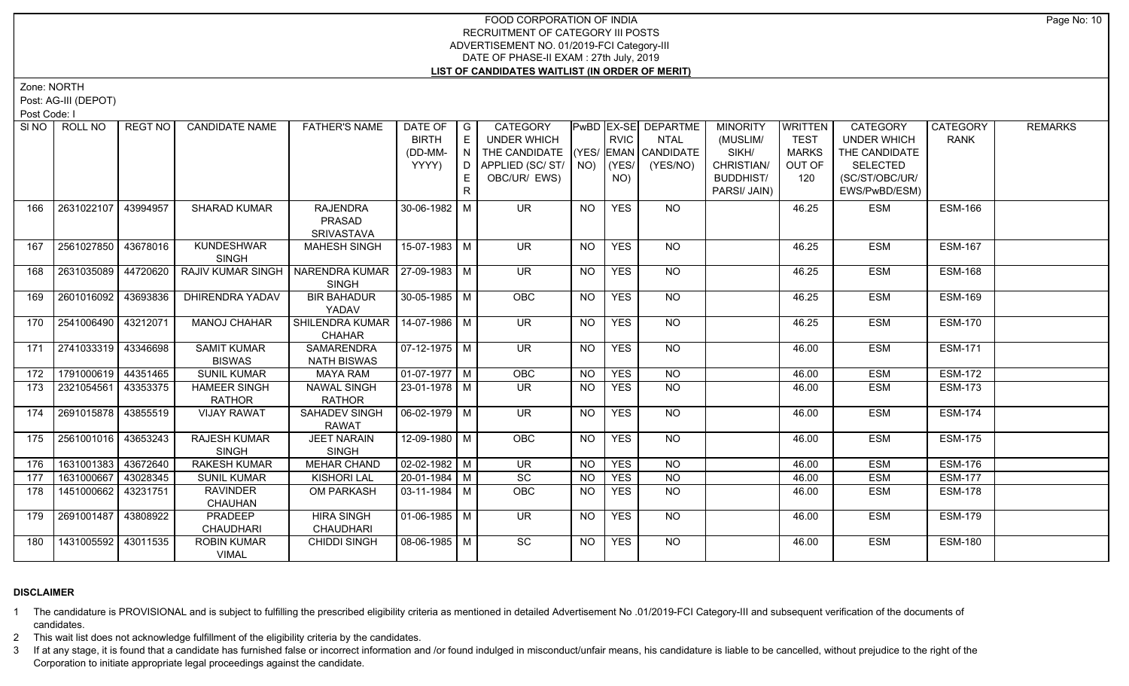Zone: NORTH

Post: AG-III (DEPOT)

Post Code: I

| SI NO I | ROLL NO                 | REGT NO  | <b>CANDIDATE NAME</b>                | <b>FATHER'S NAME</b>                            | DATE OF   G<br><b>BIRTH</b><br>(DD-MM-<br>YYYY) | E<br>N<br>D<br>E.<br>$\mathsf{R}$ | <b>CATEGORY</b><br><b>UNDER WHICH</b><br>THE CANDIDATE (YES/ EMAN CANDIDATE<br>APPLIED (SC/ST/<br>OBC/UR/ EWS) |           | <b>RVIC</b><br>$NO)$ (YES/<br>NO) | <b>PwBD EX-SE DEPARTME</b><br><b>NTAL</b><br>(YES/NO) | <b>MINORITY</b><br>(MUSLIM/<br>SIKH/<br>CHRISTIAN/<br><b>BUDDHIST/</b><br>PARSI/ JAIN) | <b>WRITTEN</b><br><b>TEST</b><br><b>MARKS</b><br>OUT OF<br>120 | <b>CATEGORY</b><br><b>UNDER WHICH</b><br>THE CANDIDATE<br><b>SELECTED</b><br>(SC/ST/OBC/UR/<br>EWS/PwBD/ESM) | CATEGORY<br><b>RANK</b> | <b>REMARKS</b> |
|---------|-------------------------|----------|--------------------------------------|-------------------------------------------------|-------------------------------------------------|-----------------------------------|----------------------------------------------------------------------------------------------------------------|-----------|-----------------------------------|-------------------------------------------------------|----------------------------------------------------------------------------------------|----------------------------------------------------------------|--------------------------------------------------------------------------------------------------------------|-------------------------|----------------|
| 166     | 2631022107              | 43994957 | <b>SHARAD KUMAR</b>                  | <b>RAJENDRA</b><br>PRASAD<br>SRIVASTAVA         | 30-06-1982 M                                    |                                   | <b>UR</b>                                                                                                      | <b>NO</b> | <b>YES</b>                        | NO.                                                   |                                                                                        | 46.25                                                          | <b>ESM</b>                                                                                                   | <b>ESM-166</b>          |                |
| 167     | 2561027850   43678016   |          | <b>KUNDESHWAR</b><br><b>SINGH</b>    | <b>MAHESH SINGH</b>                             | 15-07-1983 M                                    |                                   | $\overline{\mathsf{UR}}$                                                                                       | NO.       | <b>YES</b>                        | NO                                                    |                                                                                        | 46.25                                                          | <b>ESM</b>                                                                                                   | <b>ESM-167</b>          |                |
| 168     | 2631035089              | 44720620 | <b>RAJIV KUMAR SINGH</b>             | NARENDRA KUMAR   27-09-1983   M<br><b>SINGH</b> |                                                 |                                   | UR.                                                                                                            | <b>NO</b> | <b>YES</b>                        | NO                                                    |                                                                                        | 46.25                                                          | <b>ESM</b>                                                                                                   | <b>ESM-168</b>          |                |
| 169     | 2601016092 43693836     |          | <b>DHIRENDRA YADAV</b>               | <b>BIR BAHADUR</b><br>YADAV                     | $30 - 05 - 1985$ M                              |                                   | OBC                                                                                                            | <b>NO</b> | <b>YES</b>                        | <b>NO</b>                                             |                                                                                        | 46.25                                                          | <b>ESM</b>                                                                                                   | <b>ESM-169</b>          |                |
| 170     | 2541006490 43212071     |          | <b>MANOJ CHAHAR</b>                  | SHILENDRA KUMAR  <br><b>CHAHAR</b>              | $14-07-1986$ M                                  |                                   | <b>UR</b>                                                                                                      | <b>NO</b> | <b>YES</b>                        | NO                                                    |                                                                                        | 46.25                                                          | <b>ESM</b>                                                                                                   | <b>ESM-170</b>          |                |
|         | 171 2741033319 43346698 |          | <b>SAMIT KUMAR</b><br><b>BISWAS</b>  | <b>SAMARENDRA</b><br><b>NATH BISWAS</b>         | $\sqrt{07-12-1975}$ M                           |                                   | $\overline{\mathsf{UR}}$                                                                                       | NO        | <b>YES</b>                        | $N$ <sup>O</sup>                                      |                                                                                        | 46.00                                                          | <b>ESM</b>                                                                                                   | <b>ESM-171</b>          |                |
| 172     | 1791000619 44351465     |          | <b>SUNIL KUMAR</b>                   | <b>MAYA RAM</b>                                 | $01-07-1977$ M                                  |                                   | OBC                                                                                                            | <b>NO</b> | <b>YES</b>                        | $N$ O                                                 |                                                                                        | 46.00                                                          | <b>ESM</b>                                                                                                   | <b>ESM-172</b>          |                |
| 173     | 2321054561              | 43353375 | <b>HAMEER SINGH</b><br><b>RATHOR</b> | <b>NAWAL SINGH</b><br><b>RATHOR</b>             | 23-01-1978 M                                    |                                   | UR.                                                                                                            | <b>NO</b> | <b>YES</b>                        | $N$ O                                                 |                                                                                        | 46.00                                                          | <b>ESM</b>                                                                                                   | <b>ESM-173</b>          |                |
| 174     | 2691015878   43855519   |          | <b>VIJAY RAWAT</b>                   | <b>SAHADEV SINGH</b><br><b>RAWAT</b>            | $06 - 02 - 1979$ M                              |                                   | $\overline{\mathsf{UR}}$                                                                                       | NO        | <b>YES</b>                        | NO                                                    |                                                                                        | 46.00                                                          | <b>ESM</b>                                                                                                   | <b>ESM-174</b>          |                |
| 175     | 2561001016 43653243     |          | <b>RAJESH KUMAR</b><br><b>SINGH</b>  | <b>JEET NARAIN</b><br><b>SINGH</b>              | 12-09-1980 M                                    |                                   | OBC                                                                                                            | <b>NO</b> | <b>YES</b>                        | <b>NO</b>                                             |                                                                                        | 46.00                                                          | <b>ESM</b>                                                                                                   | <b>ESM-175</b>          |                |
| 176     | 1631001383 43672640     |          | <b>RAKESH KUMAR</b>                  | <b>MEHAR CHAND</b>                              | $02 - 02 - 1982$ M                              |                                   | <b>UR</b>                                                                                                      | <b>NO</b> | <b>YES</b>                        | $\overline{NQ}$                                       |                                                                                        | 46.00                                                          | <b>ESM</b>                                                                                                   | <b>ESM-176</b>          |                |
| 177     | 1631000667              | 43028345 | <b>SUNIL KUMAR</b>                   | <b>KISHORI LAL</b>                              | $20-01-1984$ M                                  |                                   | SC                                                                                                             | <b>NO</b> | <b>YES</b>                        | N <sub>O</sub>                                        |                                                                                        | 46.00                                                          | <b>ESM</b>                                                                                                   | <b>ESM-177</b>          |                |
| 178     | 1451000662 43231751     |          | <b>RAVINDER</b><br>CHAUHAN           | OM PARKASH                                      | $03-11-1984$ M                                  |                                   | OBC                                                                                                            | NO.       | <b>YES</b>                        | $\overline{NQ}$                                       |                                                                                        | 46.00                                                          | <b>ESM</b>                                                                                                   | <b>ESM-178</b>          |                |
| 179     | 2691001487              | 43808922 | PRADEEP<br><b>CHAUDHARI</b>          | <b>HIRA SINGH</b><br><b>CHAUDHARI</b>           | $01-06-1985$ M                                  |                                   | <b>UR</b>                                                                                                      | <b>NO</b> | <b>YES</b>                        | NO                                                    |                                                                                        | 46.00                                                          | <b>ESM</b>                                                                                                   | <b>ESM-179</b>          |                |
| 180     | 1431005592   43011535   |          | <b>ROBIN KUMAR</b><br><b>VIMAL</b>   | <b>CHIDDI SINGH</b>                             | 08-06-1985 M                                    |                                   | $\overline{SC}$                                                                                                | NO.       | <b>YES</b>                        | NO                                                    |                                                                                        | 46.00                                                          | <b>ESM</b>                                                                                                   | <b>ESM-180</b>          |                |

# **DISCLAIMER**

1 The candidature is PROVISIONAL and is subject to fulfilling the prescribed eligibility criteria as mentioned in detailed Advertisement No .01/2019-FCI Category-III and subsequent verification of the documents of candidates.

2 This wait list does not acknowledge fulfillment of the eligibility criteria by the candidates.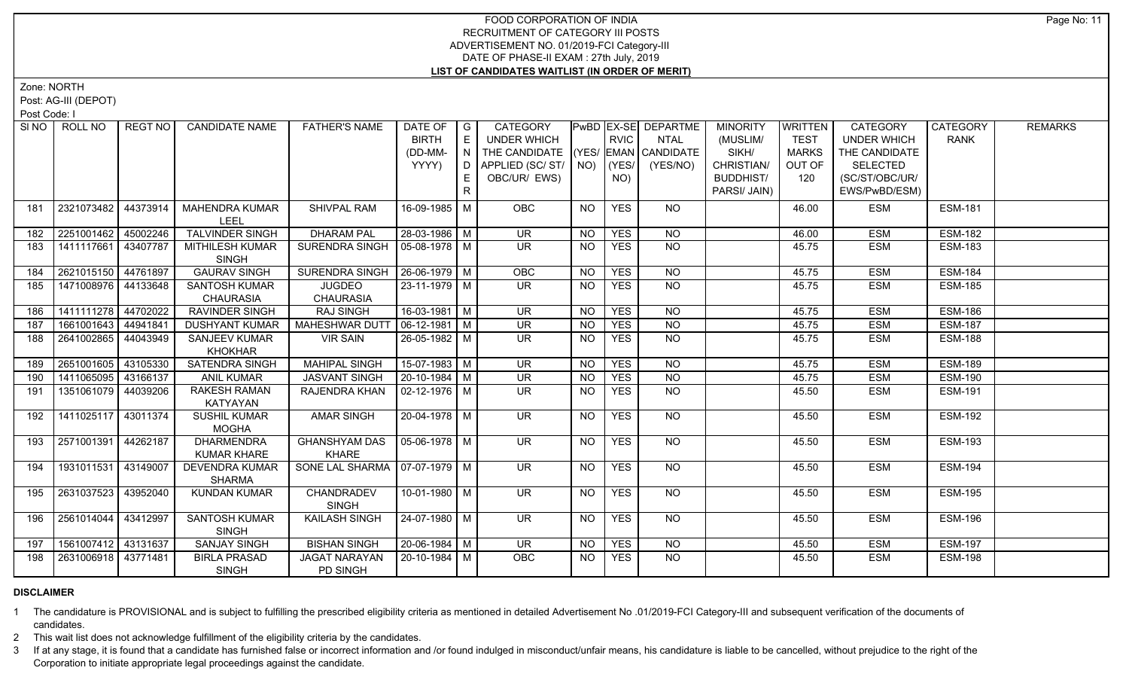Zone: NORTH

Post: AG-III (DEPOT)

Post Code: I

|     | SINO   ROLL NO        | REGT NO  | <b>CANDIDATE NAME</b>                    | <b>FATHER'S NAME</b>                 | DATE OF<br><b>BIRTH</b> | $\overline{\phantom{a}}$ G<br>E | CATEGORY<br><b>UNDER WHICH</b>     |           | <b>RVIC</b> | PwBD   EX-SE   DEPARTME<br><b>NTAL</b>   | <b>MINORITY</b><br>(MUSLIM/ | <b>WRITTEN</b><br><b>TEST</b> | <b>CATEGORY</b><br><b>UNDER WHICH</b> | CATEGORY<br><b>RANK</b> | <b>REMARKS</b> |
|-----|-----------------------|----------|------------------------------------------|--------------------------------------|-------------------------|---------------------------------|------------------------------------|-----------|-------------|------------------------------------------|-----------------------------|-------------------------------|---------------------------------------|-------------------------|----------------|
|     |                       |          |                                          |                                      | (DD-MM-                 | N                               | THE CANDIDATE (YES/ EMAN CANDIDATE |           |             |                                          | SIKH/                       | <b>MARKS</b>                  | THE CANDIDATE                         |                         |                |
|     |                       |          |                                          |                                      | YYYY)                   | D I                             | APPLIED (SC/ ST/   NO)   (YES/     |           |             | (YES/NO)                                 | CHRISTIAN/                  | OUT OF                        | <b>SELECTED</b>                       |                         |                |
|     |                       |          |                                          |                                      |                         | E.                              | OBC/UR/ EWS)                       |           | NO)         |                                          | <b>BUDDHIST/</b>            | 120                           | (SC/ST/OBC/UR/                        |                         |                |
|     |                       |          |                                          |                                      |                         | R                               |                                    |           |             |                                          | PARSI/ JAIN)                |                               | EWS/PwBD/ESM)                         |                         |                |
| 181 | 2321073482   44373914 |          | <b>MAHENDRA KUMAR</b><br><b>LEEL</b>     | SHIVPAL RAM                          | 16-09-1985 M            |                                 | OBC                                | <b>NO</b> | <b>YES</b>  | <b>NO</b>                                |                             | 46.00                         | ESM                                   | <b>ESM-181</b>          |                |
| 182 | 2251001462 45002246   |          | TALVINDER SINGH                          | <b>DHARAM PAL</b>                    | 28-03-1986 M            |                                 | <b>UR</b>                          | <b>NO</b> | <b>YES</b>  | <b>NO</b>                                |                             | 46.00                         | <b>ESM</b>                            | <b>ESM-182</b>          |                |
| 183 | 1411117661            | 43407787 | MITHILESH KUMAR<br><b>SINGH</b>          | SURENDRA SINGH                       | 05-08-1978 M            |                                 | <b>UR</b>                          | <b>NO</b> | <b>YES</b>  | <b>NO</b>                                |                             | 45.75                         | <b>ESM</b>                            | <b>ESM-183</b>          |                |
| 184 | 2621015150            | 44761897 | <b>GAURAV SINGH</b>                      | SURENDRA SINGH                       | $ 26-06-1979 M$         |                                 | OBC                                | <b>NO</b> | <b>YES</b>  | $\overline{NQ}$                          |                             | 45.75                         | <b>ESM</b>                            | <b>ESM-184</b>          |                |
| 185 | 1471008976 44133648   |          | <b>SANTOSH KUMAR</b><br><b>CHAURASIA</b> | <b>JUGDEO</b><br><b>CHAURASIA</b>    | $23 - 11 - 1979$ M      |                                 | UR.                                | NO.       | <b>YES</b>  | <b>NO</b>                                |                             | 45.75                         | <b>ESM</b>                            | <b>ESM-185</b>          |                |
| 186 | 1411111278 44702022   |          | <b>RAVINDER SINGH</b>                    | <b>RAJ SINGH</b>                     | 16-03-1981   M          |                                 | $\overline{\mathsf{UR}}$           | NO.       | <b>YES</b>  | N <sub>O</sub>                           |                             | 45.75                         | <b>ESM</b>                            | <b>ESM-186</b>          |                |
| 187 | 1661001643 44941841   |          | <b>DUSHYANT KUMAR</b>                    | <b>MAHESHWAR DUT</b>                 | $06-12-1981$ M          |                                 | $\overline{\mathsf{UR}}$           | <b>NO</b> | <b>YES</b>  | N <sub>O</sub>                           |                             | 45.75                         | <b>ESM</b>                            | <b>ESM-187</b>          |                |
| 188 | 2641002865 44043949   |          | <b>SANJEEV KUMAR</b><br><b>KHOKHAR</b>   | <b>VIR SAIN</b>                      | 26-05-1982 M            |                                 | $\overline{\mathsf{UR}}$           | <b>NO</b> | <b>YES</b>  | $N$ <sup>O</sup>                         |                             | 45.75                         | <b>ESM</b>                            | <b>ESM-188</b>          |                |
| 189 | 2651001605 43105330   |          | <b>SATENDRA SINGH</b>                    | <b>MAHIPAL SINGH</b>                 | $15-07-1983$ M          |                                 | $\overline{\mathsf{UR}}$           | $N$ O     | <b>YES</b>  | N <sub>O</sub>                           |                             | 45.75                         | <b>ESM</b>                            | <b>ESM-189</b>          |                |
| 190 | 1411065095 43166137   |          | <b>ANIL KUMAR</b>                        | <b>JASVANT SINGH</b>                 | $20-10-1984$ M          |                                 | $\overline{\mathsf{UR}}$           | <b>NO</b> | <b>YES</b>  | $N$ O                                    |                             | 45.75                         | <b>ESM</b>                            | <b>ESM-190</b>          |                |
| 191 | 1351061079            | 44039206 | <b>RAKESH RAMAN</b><br><b>KATYAYAN</b>   | RAJENDRA KHAN                        | $02 - 12 - 1976$ M      |                                 | <b>UR</b>                          | NO.       | <b>YES</b>  | $N$ O                                    |                             | 45.50                         | <b>ESM</b>                            | <b>ESM-191</b>          |                |
| 192 | 1411025117            | 43011374 | <b>SUSHIL KUMAR</b><br><b>MOGHA</b>      | <b>AMAR SINGH</b>                    | 20-04-1978 M            |                                 | <b>UR</b>                          | <b>NO</b> | <b>YES</b>  | NO                                       |                             | 45.50                         | <b>ESM</b>                            | <b>ESM-192</b>          |                |
| 193 | 2571001391            | 44262187 | <b>DHARMENDRA</b><br><b>KUMAR KHARE</b>  | <b>GHANSHYAM DAS</b><br><b>KHARE</b> | $05-06-1978$ M          |                                 | UR.                                | NO.       | <b>YES</b>  | <b>NO</b>                                |                             | 45.50                         | <b>ESM</b>                            | <b>ESM-193</b>          |                |
| 194 | 1931011531 43149007   |          | <b>DEVENDRA KUMAR</b><br><b>SHARMA</b>   | SONE LAL SHARMA   07-07-1979   M     |                         |                                 | UR.                                | NO        | <b>YES</b>  | <b>NO</b>                                |                             | 45.50                         | <b>ESM</b>                            | <b>ESM-194</b>          |                |
| 195 | 2631037523            | 43952040 | <b>KUNDAN KUMAR</b>                      | CHANDRADEV<br><b>SINGH</b>           | 10-01-1980 M            |                                 | $\overline{\mathsf{UR}}$           | NO.       | <b>YES</b>  | $N$ <sup><math>\overline{O}</math></sup> |                             | 45.50                         | <b>ESM</b>                            | <b>ESM-195</b>          |                |
| 196 | 2561014044   43412997 |          | <b>SANTOSH KUMAR</b><br><b>SINGH</b>     | <b>KAILASH SINGH</b>                 | 24-07-1980 M            |                                 | <b>UR</b>                          | <b>NO</b> | <b>YES</b>  | NO                                       |                             | 45.50                         | <b>ESM</b>                            | <b>ESM-196</b>          |                |
| 197 | 1561007412 43131637   |          | <b>SANJAY SINGH</b>                      | <b>BISHAN SINGH</b>                  | 20-06-1984 M            |                                 | <b>UR</b>                          | NO.       | <b>YES</b>  | <b>NO</b>                                |                             | 45.50                         | <b>ESM</b>                            | <b>ESM-197</b>          |                |
| 198 | 2631006918   43771481 |          | <b>BIRLA PRASAD</b><br><b>SINGH</b>      | <b>JAGAT NARAYAN</b><br>PD SINGH     | l 20-10-1984 l M        |                                 | <b>OBC</b>                         | <b>NO</b> | <b>YES</b>  | $N$ O                                    |                             | 45.50                         | <b>ESM</b>                            | <b>ESM-198</b>          |                |

# **DISCLAIMER**

1 The candidature is PROVISIONAL and is subject to fulfilling the prescribed eligibility criteria as mentioned in detailed Advertisement No .01/2019-FCI Category-III and subsequent verification of the documents of candidates.

2 This wait list does not acknowledge fulfillment of the eligibility criteria by the candidates.

3 If at any stage, it is found that a candidate has furnished false or incorrect information and /or found indulged in misconduct/unfair means, his candidature is liable to be cancelled, without prejudice to the right of t Corporation to initiate appropriate legal proceedings against the candidate.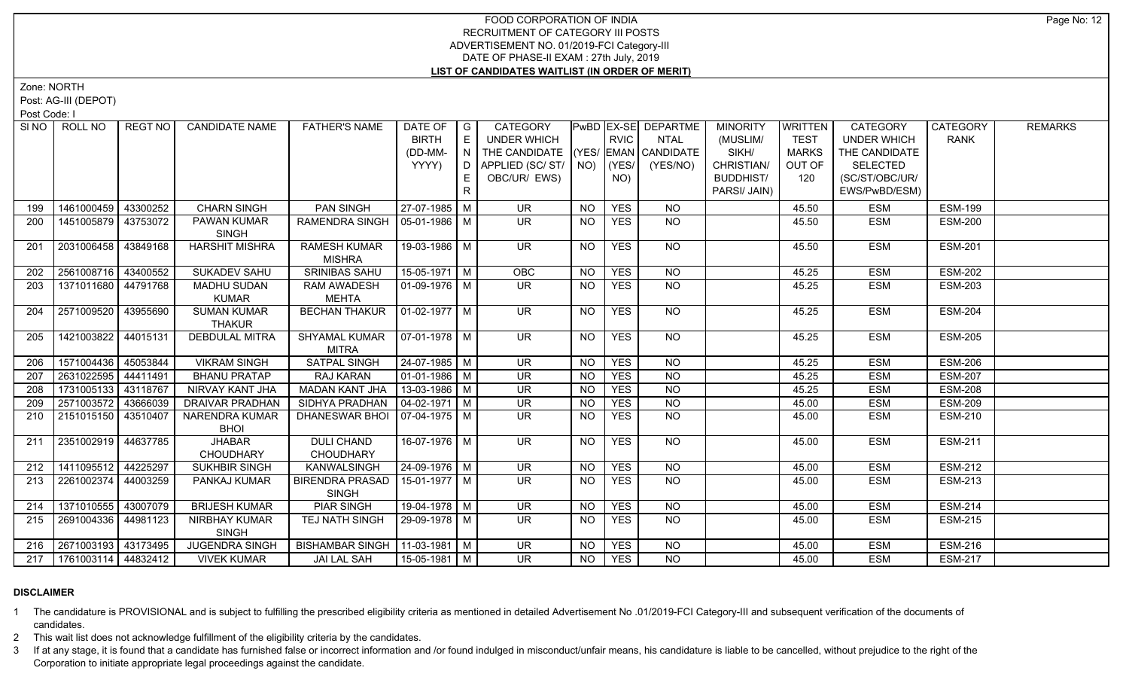Zone: NORTH

Post: AG-III (DEPOT)

Post Code: I

|     | SINO   ROLL NO              | REGT NO  | <b>CANDIDATE NAME</b>                | <b>FATHER'S NAME</b>                  | DATE OF                      | $\overline{\phantom{a}}$ G | CATEGORY                           |           |             | PwBD   EX-SE   DEPARTME | <b>MINORITY</b>  | <b>WRITTEN</b> | <b>CATEGORY</b>    | CATEGORY       | <b>REMARKS</b> |
|-----|-----------------------------|----------|--------------------------------------|---------------------------------------|------------------------------|----------------------------|------------------------------------|-----------|-------------|-------------------------|------------------|----------------|--------------------|----------------|----------------|
|     |                             |          |                                      |                                       | <b>BIRTH</b>                 | E                          | <b>UNDER WHICH</b>                 |           | <b>RVIC</b> | <b>NTAL</b>             | (MUSLIM/         | <b>TEST</b>    | <b>UNDER WHICH</b> | <b>RANK</b>    |                |
|     |                             |          |                                      |                                       | (DD-MM-                      | N.                         | THE CANDIDATE (YES/ EMAN CANDIDATE |           |             |                         | SIKH/            | <b>MARKS</b>   | THE CANDIDATE      |                |                |
|     |                             |          |                                      |                                       | YYYY)                        | D                          | APPLIED (SC/ ST/   NO)   (YES/     |           |             | (YES/NO)                | CHRISTIAN/       | OUT OF         | <b>SELECTED</b>    |                |                |
|     |                             |          |                                      |                                       |                              | E                          | OBC/UR/ EWS)                       |           | NO)         |                         | <b>BUDDHIST/</b> | 120            | (SC/ST/OBC/UR/     |                |                |
|     |                             |          |                                      |                                       |                              | R                          |                                    |           |             |                         | PARSI/ JAIN)     |                | EWS/PwBD/ESM)      |                |                |
| 199 | 1461000459 43300252         |          | <b>CHARN SINGH</b>                   | PAN SINGH                             | 27-07-1985   M               |                            | <b>UR</b>                          | NO.       | <b>YES</b>  | <b>NO</b>               |                  | 45.50          | <b>ESM</b>         | <b>ESM-199</b> |                |
| 200 | 1451005879 43753072         |          | PAWAN KUMAR<br><b>SINGH</b>          | RAMENDRA SINGH   05-01-1986   M       |                              |                            | $\overline{\mathsf{UR}}$           | <b>NO</b> | <b>YES</b>  | $N$ O                   |                  | 45.50          | <b>ESM</b>         | <b>ESM-200</b> |                |
| 201 | 2031006458 43849168         |          | <b>HARSHIT MISHRA</b>                | <b>RAMESH KUMAR</b><br><b>MISHRA</b>  | 19-03-1986 M                 |                            | <b>UR</b>                          | NO        | <b>YES</b>  | <b>NO</b>               |                  | 45.50          | <b>ESM</b>         | <b>ESM-201</b> |                |
| 202 | 2561008716 43400552         |          | <b>SUKADEV SAHU</b>                  | <b>SRINIBAS SAHU</b>                  | $15-05-1971$ M               |                            | OBC                                | <b>NO</b> | <b>YES</b>  | $\overline{NQ}$         |                  | 45.25          | <b>ESM</b>         | <b>ESM-202</b> |                |
| 203 | 1371011680 44791768         |          | <b>MADHU SUDAN</b>                   | <b>RAM AWADESH</b>                    | 01-09-1976   M               |                            | UR.                                | NO.       | <b>YES</b>  | NO                      |                  | 45.25          | <b>ESM</b>         | <b>ESM-203</b> |                |
|     |                             |          | <b>KUMAR</b>                         | <b>MEHTA</b>                          |                              |                            |                                    |           |             |                         |                  |                |                    |                |                |
| 204 | 2571009520                  | 43955690 | <b>SUMAN KUMAR</b><br><b>THAKUR</b>  | <b>BECHAN THAKUR</b>                  | $\vert$ 01-02-1977 $\vert$ M |                            | <b>UR</b>                          | NO.       | <b>YES</b>  | NO                      |                  | 45.25          | <b>ESM</b>         | <b>ESM-204</b> |                |
| 205 | 1421003822 44015131         |          | <b>DEBDULAL MITRA</b>                | <b>SHYAMAL KUMAR</b><br><b>MITRA</b>  | 07-01-1978   M               |                            | <b>UR</b>                          | <b>NO</b> | <b>YES</b>  | <b>NO</b>               |                  | 45.25          | <b>ESM</b>         | <b>ESM-205</b> |                |
| 206 | 1571004436 45053844         |          | <b>VIKRAM SINGH</b>                  | <b>SATPAL SINGH</b>                   | 24-07-1985 M                 |                            | <b>UR</b>                          | <b>NO</b> | <b>YES</b>  | $N$ O                   |                  | 45.25          | <b>ESM</b>         | <b>ESM-206</b> |                |
| 207 | 2631022595 44411491         |          | <b>BHANU PRATAP</b>                  | <b>RAJ KARAN</b>                      | $01-01-1986$ M               |                            | $\overline{\mathsf{UR}}$           | <b>NO</b> | <b>YES</b>  | N <sub>O</sub>          |                  | 45.25          | <b>ESM</b>         | <b>ESM-207</b> |                |
| 208 | 1731005133 43118767         |          | NIRVAY KANT JHA                      | <b>MADAN KANT JHA</b>                 | $13 - 03 - 1986$ M           |                            | <b>UR</b>                          | <b>NO</b> | <b>YES</b>  | $N$ O                   |                  | 45.25          | <b>ESM</b>         | <b>ESM-208</b> |                |
| 209 | 2571003572                  | 43666039 | <b>DRAIVAR PRADHAN</b>               | SIDHYA PRADHAN                        | $04 - 02 - 1971$ M           |                            | <b>UR</b>                          | <b>NO</b> | <b>YES</b>  | NO                      |                  | 45.00          | <b>ESM</b>         | <b>ESM-209</b> |                |
| 210 | 2151015150 43510407         |          | <b>NARENDRA KUMAR</b><br><b>BHOI</b> | DHANESWAR BHOI                        | $07-04-1975$ M               |                            | UR.                                | <b>NO</b> | <b>YES</b>  | NO                      |                  | 45.00          | <b>ESM</b>         | <b>ESM-210</b> |                |
| 211 | 2351002919 44637785         |          | <b>JHABAR</b><br><b>CHOUDHARY</b>    | <b>DULI CHAND</b><br><b>CHOUDHARY</b> | 16-07-1976 M                 |                            | UR.                                | NO        | <b>YES</b>  | NO                      |                  | 45.00          | <b>ESM</b>         | <b>ESM-211</b> |                |
| 212 | 1411095512 44225297         |          | SUKHBIR SINGH                        | <b>KANWALSINGH</b>                    | $24 - 09 - 1976$ M           |                            | UR                                 | <b>NO</b> | <b>YES</b>  | N <sub>O</sub>          |                  | 45.00          | <b>ESM</b>         | <b>ESM-212</b> |                |
| 213 | 2261002374                  | 44003259 | PANKAJ KUMAR                         | <b>BIRENDRA PRASAD</b>                | 15-01-1977   M               |                            | <b>UR</b>                          | <b>NO</b> | <b>YES</b>  | $\overline{NQ}$         |                  | 45.00          | <b>ESM</b>         | <b>ESM-213</b> |                |
|     |                             |          |                                      | <b>SINGH</b>                          |                              |                            |                                    |           |             |                         |                  |                |                    |                |                |
| 214 | 1371010555                  | 43007079 | <b>BRIJESH KUMAR</b>                 | <b>PIAR SINGH</b>                     | 19-04-1978 M                 |                            | $\overline{\mathsf{UR}}$           | <b>NO</b> | <b>YES</b>  | N <sub>O</sub>          |                  | 45.00          | <b>ESM</b>         | <b>ESM-214</b> |                |
| 215 | 2691004336   44981123       |          | NIRBHAY KUMAR<br><b>SINGH</b>        | TEJ NATH SINGH                        | 29-09-1978 M                 |                            | UR.                                | NO.       | <b>YES</b>  | <b>NO</b>               |                  | 45.00          | <b>ESM</b>         | <b>ESM-215</b> |                |
|     | 216 2671003193 43173495     |          | <b>JUGENDRA SINGH</b>                | BISHAMBAR SINGH   11-03-1981   M      |                              |                            | <b>UR</b>                          | NO.       | <b>YES</b>  | <b>NO</b>               |                  | 45.00          | <b>ESM</b>         | <b>ESM-216</b> |                |
|     | 217   1761003114   44832412 |          | <b>VIVEK KUMAR</b>                   | <b>JAI LAL SAH</b>                    | 15-05-1981   M               |                            | <b>UR</b>                          | NO.       | <b>YES</b>  | <b>NO</b>               |                  | 45.00          | <b>ESM</b>         | <b>ESM-217</b> |                |
|     |                             |          |                                      |                                       |                              |                            |                                    |           |             |                         |                  |                |                    |                |                |

# **DISCLAIMER**

1 The candidature is PROVISIONAL and is subject to fulfilling the prescribed eligibility criteria as mentioned in detailed Advertisement No .01/2019-FCI Category-III and subsequent verification of the documents of candidates.

2 This wait list does not acknowledge fulfillment of the eligibility criteria by the candidates.

3 If at any stage, it is found that a candidate has furnished false or incorrect information and /or found indulged in misconduct/unfair means, his candidature is liable to be cancelled, without prejudice to the right of t Corporation to initiate appropriate legal proceedings against the candidate.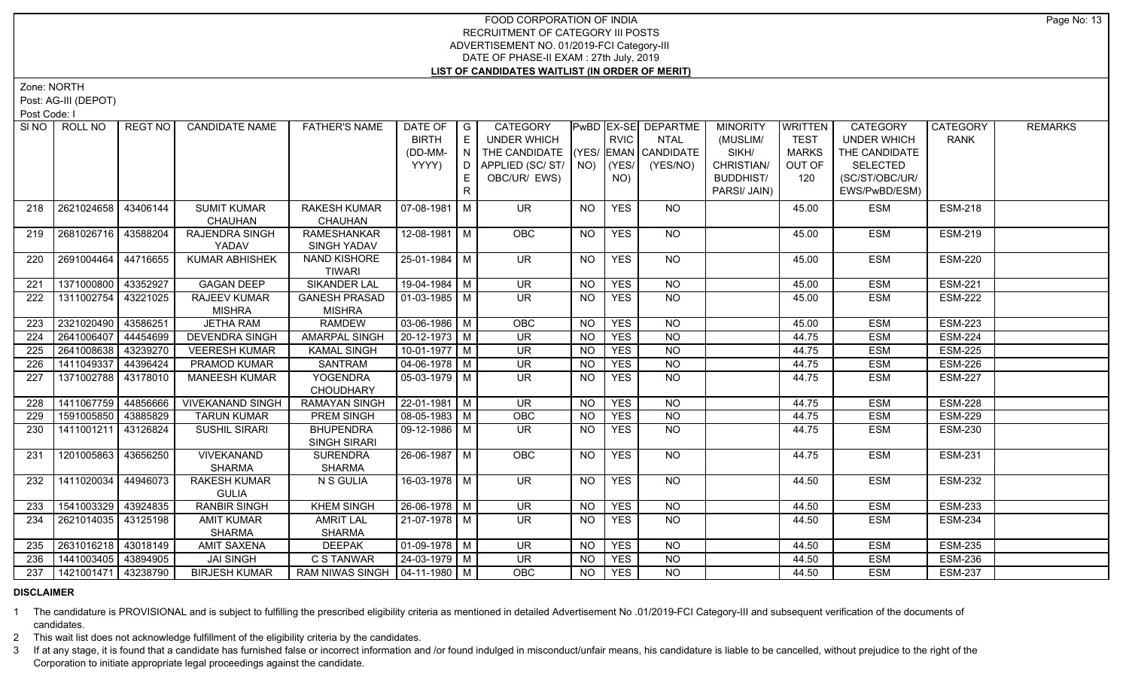Zone: NORTH

Post: AG-III (DEPOT)

Post Code: I

| SI NO I | ROLL NO             | REGT NO  | <b>CANDIDATE NAME</b>   | <b>FATHER'S NAME</b>             | DATE OF   G<br><b>BIRTH</b> | E                      | CATEGORY<br><b>UNDER WHICH</b>     |           | <b>RVIC</b> | <b>PWBD EX-SE DEPARTME</b><br><b>NTAL</b> | <b>MINORITY</b><br>(MUSLIM/ | <b>WRITTEN</b><br><b>TEST</b> | <b>CATEGORY</b><br><b>UNDER WHICH</b> | CATEGORY<br><b>RANK</b> | <b>REMARKS</b> |
|---------|---------------------|----------|-------------------------|----------------------------------|-----------------------------|------------------------|------------------------------------|-----------|-------------|-------------------------------------------|-----------------------------|-------------------------------|---------------------------------------|-------------------------|----------------|
|         |                     |          |                         |                                  |                             |                        |                                    |           |             |                                           |                             |                               |                                       |                         |                |
|         |                     |          |                         |                                  | (DD-MM-<br>YYYY)            | $\overline{N}$<br>l D. | THE CANDIDATE (YES/ EMAN CANDIDATE |           | (YES/       | (YES/NO)                                  | SIKH/<br>CHRISTIAN/         | <b>MARKS</b><br>OUT OF        | THE CANDIDATE<br><b>SELECTED</b>      |                         |                |
|         |                     |          |                         |                                  |                             |                        | APPLIED (SC/ ST/   NO)             |           |             |                                           | <b>BUDDHIST/</b>            | 120                           |                                       |                         |                |
|         |                     |          |                         |                                  |                             | E                      | OBC/UR/ EWS)                       |           | NO)         |                                           |                             |                               | (SC/ST/OBC/UR/                        |                         |                |
|         |                     |          |                         |                                  |                             | $\mathsf{R}$           |                                    |           |             |                                           | PARSI/ JAIN)                |                               | EWS/PwBD/ESM)                         |                         |                |
| 218     | 2621024658          | 43406144 | <b>SUMIT KUMAR</b>      | <b>RAKESH KUMAR</b>              | 07-08-1981   M              |                        | UR.                                | <b>NO</b> | <b>YES</b>  | NO.                                       |                             | 45.00                         | <b>ESM</b>                            | <b>ESM-218</b>          |                |
|         |                     |          | CHAUHAN                 | CHAUHAN                          |                             |                        |                                    |           |             |                                           |                             |                               |                                       |                         |                |
| 219     | 2681026716          | 43588204 | <b>RAJENDRA SINGH</b>   | <b>RAMESHANKAR</b>               | 12-08-1981 M                |                        | <b>OBC</b>                         | <b>NO</b> | <b>YES</b>  | NO                                        |                             | 45.00                         | <b>ESM</b>                            | <b>ESM-219</b>          |                |
|         |                     |          | YADAV                   | SINGH YADAV                      |                             |                        |                                    |           |             |                                           |                             |                               |                                       |                         |                |
| 220     | 2691004464          | 44716655 | <b>KUMAR ABHISHEK</b>   | <b>NAND KISHORE</b>              | 25-01-1984 M                |                        | <b>UR</b>                          | <b>NO</b> | <b>YES</b>  | NO                                        |                             | 45.00                         | <b>ESM</b>                            | <b>ESM-220</b>          |                |
|         |                     |          |                         | <b>TIWARI</b>                    |                             |                        |                                    |           |             |                                           |                             |                               |                                       |                         |                |
| 221     | 1371000800          | 43352927 | <b>GAGAN DEEP</b>       | <b>SIKANDER LAL</b>              | 19-04-1984 M                |                        | <b>UR</b>                          | <b>NO</b> | <b>YES</b>  | <b>NO</b>                                 |                             | 45.00                         | <b>ESM</b>                            | <b>ESM-221</b>          |                |
| 222     | 1311002754          | 43221025 | <b>RAJEEV KUMAR</b>     | <b>GANESH PRASAD</b>             | 01-03-1985   M              |                        | UR.                                | <b>NO</b> | <b>YES</b>  | NO                                        |                             | 45.00                         | <b>ESM</b>                            | <b>ESM-222</b>          |                |
|         |                     |          | <b>MISHRA</b>           | <b>MISHRA</b>                    |                             |                        |                                    |           |             |                                           |                             |                               |                                       |                         |                |
| 223     | 2321020490          | 43586251 | <b>JETHA RAM</b>        | <b>RAMDEW</b>                    | $03-06-1986$ M              |                        | OBC                                | <b>NO</b> | <b>YES</b>  | $N$ <sup>O</sup>                          |                             | 45.00                         | <b>ESM</b>                            | <b>ESM-223</b>          |                |
| 224     | 2641006407          | 44454699 | <b>DEVENDRA SINGH</b>   | <b>AMARPAL SINGH</b>             | $20-12-1973$ M              |                        | <b>UR</b>                          | <b>NO</b> | <b>YES</b>  | $N$ O                                     |                             | 44.75                         | <b>ESM</b>                            | <b>ESM-224</b>          |                |
| 225     | 2641008638          | 43239270 | <b>VEERESH KUMAR</b>    | <b>KAMAL SINGH</b>               | $10-01-1977$ M              |                        | <b>UR</b>                          | NO.       | <b>YES</b>  | <b>NO</b>                                 |                             | 44.75                         | <b>ESM</b>                            | <b>ESM-225</b>          |                |
| 226     | 1411049337          | 44396424 | <b>PRAMOD KUMAR</b>     | <b>SANTRAM</b>                   | $04 - 06 - 1978$ M          |                        | $\overline{\mathsf{UR}}$           | <b>NO</b> | <b>YES</b>  | N <sub>O</sub>                            |                             | 44.75                         | <b>ESM</b>                            | <b>ESM-226</b>          |                |
| 227     | 1371002788          | 43178010 | <b>MANEESH KUMAR</b>    | <b>YOGENDRA</b>                  | 05-03-1979 M                |                        | <b>UR</b>                          | <b>NO</b> | <b>YES</b>  | $N$ <sup>O</sup>                          |                             | 44.75                         | <b>ESM</b>                            | <b>ESM-227</b>          |                |
|         |                     |          |                         | CHOUDHARY                        |                             |                        |                                    |           |             |                                           |                             |                               |                                       |                         |                |
| 228     | 1411067759 44856666 |          | <b>VIVEKANAND SINGH</b> | RAMAYAN SINGH                    | $22-01-1981$ M              |                        | <b>UR</b>                          | <b>NO</b> | <b>YES</b>  | $N$ <sup>O</sup>                          |                             | 44.75                         | <b>ESM</b>                            | <b>ESM-228</b>          |                |
| 229     | 1591005850          | 43885829 | <b>TARUN KUMAR</b>      | <b>PREM SINGH</b>                | $08-05-1983$ M              |                        | <b>OBC</b>                         | <b>NO</b> | <b>YES</b>  | $N$ O                                     |                             | 44.75                         | <b>ESM</b>                            | <b>ESM-229</b>          |                |
| 230     | 1411001211          | 43126824 | <b>SUSHIL SIRARI</b>    | <b>BHUPENDRA</b>                 | 09-12-1986 M                |                        | <b>UR</b>                          | <b>NO</b> | <b>YES</b>  | NO                                        |                             | 44.75                         | <b>ESM</b>                            | <b>ESM-230</b>          |                |
|         |                     |          |                         | <b>SINGH SIRARI</b>              |                             |                        |                                    |           |             |                                           |                             |                               |                                       |                         |                |
| 231     | 1201005863          | 43656250 | <b>VIVEKANAND</b>       | <b>SURENDRA</b>                  | 26-06-1987 M                |                        | <b>OBC</b>                         | <b>NO</b> | <b>YES</b>  | NO                                        |                             | 44.75                         | <b>ESM</b>                            | <b>ESM-231</b>          |                |
|         |                     |          | <b>SHARMA</b>           | <b>SHARMA</b>                    |                             |                        |                                    |           |             |                                           |                             |                               |                                       |                         |                |
| 232     | 1411020034          | 44946073 | RAKESH KUMAR            | N S GULIA                        | 16-03-1978 M                |                        | <b>UR</b>                          | <b>NO</b> | <b>YES</b>  | NO                                        |                             | 44.50                         | <b>ESM</b>                            | <b>ESM-232</b>          |                |
|         |                     |          | <b>GULIA</b>            |                                  |                             |                        |                                    |           |             |                                           |                             |                               |                                       |                         |                |
| 233     | 1541003329 43924835 |          | <b>RANBIR SINGH</b>     | <b>KHEM SINGH</b>                | 26-06-1978 M                |                        | <b>UR</b>                          | <b>NO</b> | <b>YES</b>  | NO                                        |                             | 44.50                         | <b>ESM</b>                            | <b>ESM-233</b>          |                |
| 234     | 2621014035          | 43125198 | <b>AMIT KUMAR</b>       | <b>AMRIT LAL</b>                 | 21-07-1978 M                |                        | <b>UR</b>                          | <b>NO</b> | <b>YES</b>  | $\overline{NO}$                           |                             | 44.50                         | <b>ESM</b>                            | <b>ESM-234</b>          |                |
|         |                     |          | <b>SHARMA</b>           | <b>SHARMA</b>                    |                             |                        |                                    |           |             |                                           |                             |                               |                                       |                         |                |
| 235     | 2631016218 3018149  |          | <b>AMIT SAXENA</b>      | <b>DEEPAK</b>                    | 01-09-1978   M              |                        | <b>UR</b>                          | <b>NO</b> | <b>YES</b>  | NO.                                       |                             | 44.50                         | <b>ESM</b>                            | <b>ESM-235</b>          |                |
| 236     | 1441003405 43894905 |          | <b>JAI SINGH</b>        | C S TANWAR                       | 24-03-1979   M              |                        | <b>UR</b>                          | <b>NO</b> | <b>YES</b>  | <b>NO</b>                                 |                             | 44.50                         | <b>ESM</b>                            | <b>ESM-236</b>          |                |
| 237     | 1421001471 43238790 |          | <b>BIRJESH KUMAR</b>    | RAM NIWAS SINGH   04-11-1980   M |                             |                        | <b>OBC</b>                         | <b>NO</b> | <b>YES</b>  | $N$ O                                     |                             | 44.50                         | <b>ESM</b>                            | <b>ESM-237</b>          |                |

# **DISCLAIMER**

1 The candidature is PROVISIONAL and is subject to fulfilling the prescribed eligibility criteria as mentioned in detailed Advertisement No .01/2019-FCI Category-III and subsequent verification of the documents of candidates.

2 This wait list does not acknowledge fulfillment of the eligibility criteria by the candidates.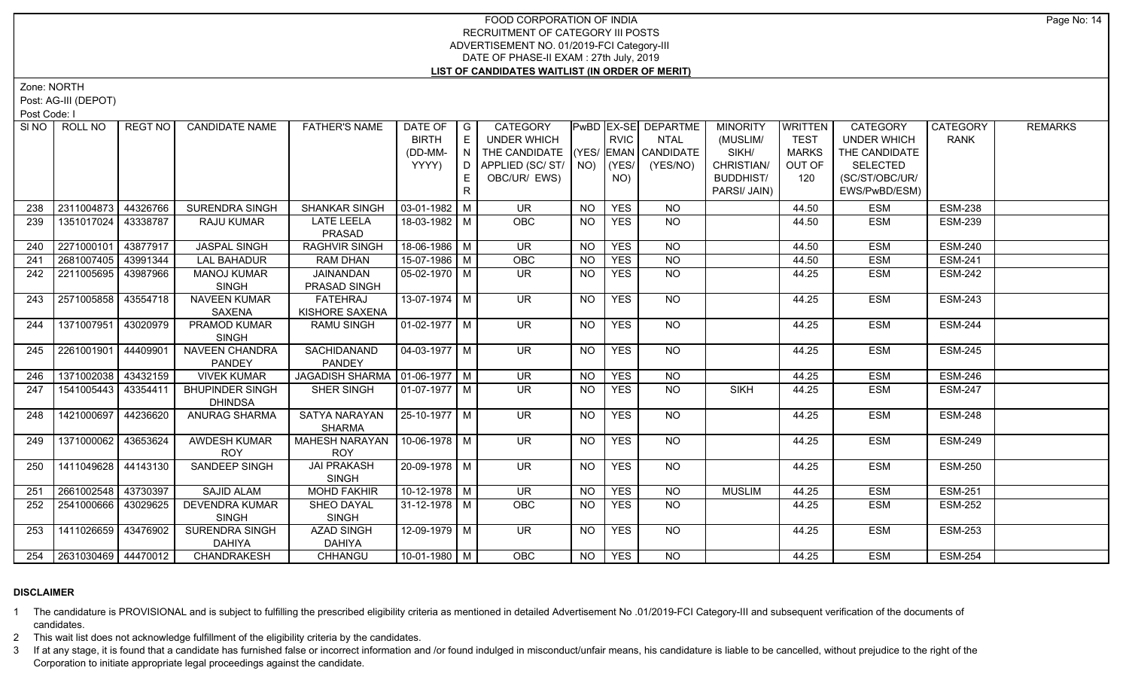Zone: NORTH

Post: AG-III (DEPOT)

Post Code: I

|     | SINO   ROLL NO          | REGT NO I | <b>CANDIDATE NAME</b>                    | <b>FATHER'S NAME</b>             | DATE OF   G           |              | CATEGORY                           |           |             | PwBD EX-SE DEPARTME | <b>MINORITY</b>  | WRITTEN     | <b>CATEGORY</b>    | CATEGORY       | <b>REMARKS</b> |
|-----|-------------------------|-----------|------------------------------------------|----------------------------------|-----------------------|--------------|------------------------------------|-----------|-------------|---------------------|------------------|-------------|--------------------|----------------|----------------|
|     |                         |           |                                          |                                  | <b>BIRTH</b>          | E            | <b>UNDER WHICH</b>                 |           | <b>RVIC</b> | <b>NTAL</b>         | (MUSLIM/         | <b>TEST</b> | <b>UNDER WHICH</b> | <b>RANK</b>    |                |
|     |                         |           |                                          |                                  | (DD-MM-               | N.           | THE CANDIDATE (YES/ EMAN CANDIDATE |           |             |                     | SIKH/            | MARKS       | THE CANDIDATE      |                |                |
|     |                         |           |                                          |                                  | YYYY)                 | D            | APPLIED (SC/ ST/   NO)   (YES/     |           |             | (YES/NO)            | CHRISTIAN/       | OUT OF      | <b>SELECTED</b>    |                |                |
|     |                         |           |                                          |                                  |                       | E.           | OBC/UR/ EWS)                       |           | NO)         |                     | <b>BUDDHIST/</b> | 120         | (SC/ST/OBC/UR/     |                |                |
|     |                         |           |                                          |                                  |                       | $\mathsf{R}$ |                                    |           |             |                     | PARSI/ JAIN)     |             | EWS/PwBD/ESM)      |                |                |
| 238 | 2311004873              | 44326766  | SURENDRA SINGH                           | <b>SHANKAR SINGH</b>             | $03-01-1982$ M        |              | UR.                                | NO.       | <b>YES</b>  | NO.                 |                  | 44.50       | <b>ESM</b>         | <b>ESM-238</b> |                |
| 239 | 1351017024   43338787   |           | <b>RAJU KUMAR</b>                        | <b>LATE LEELA</b>                | 18-03-1982 M          |              | <b>OBC</b>                         | NO.       | <b>YES</b>  | NO.                 |                  | 44.50       | <b>ESM</b>         | <b>ESM-239</b> |                |
|     |                         |           |                                          | PRASAD                           |                       |              |                                    |           |             |                     |                  |             |                    |                |                |
| 240 | 2271000101              | 43877917  | <b>JASPAL SINGH</b>                      | <b>RAGHVIR SINGH</b>             | 18-06-1986 M          |              | <b>UR</b>                          | <b>NO</b> | <b>YES</b>  | <b>NO</b>           |                  | 44.50       | <b>ESM</b>         | <b>ESM-240</b> |                |
| 241 | 2681007405 43991344     |           | <b>LAL BAHADUR</b>                       | <b>RAM DHAN</b>                  | 15-07-1986 M          |              | OBC                                | <b>NO</b> | <b>YES</b>  | <b>NO</b>           |                  | 44.50       | <b>ESM</b>         | <b>ESM-241</b> |                |
| 242 | 2211005695              | 43987966  | <b>MANOJ KUMAR</b>                       | JAINANDAN                        | $05-02-1970$ M        |              | UR.                                | NO.       | <b>YES</b>  | <b>NO</b>           |                  | 44.25       | <b>ESM</b>         | <b>ESM-242</b> |                |
|     |                         |           | <b>SINGH</b>                             | PRASAD SINGH                     |                       |              |                                    |           |             |                     |                  |             |                    |                |                |
| 243 | 2571005858 43554718     |           | <b>NAVEEN KUMAR</b>                      | FATEHRAJ                         | $13-07-1974$ M        |              | $\overline{\mathsf{UR}}$           | <b>NO</b> | <b>YES</b>  | $N$ <sup>O</sup>    |                  | 44.25       | <b>ESM</b>         | <b>ESM-243</b> |                |
|     |                         |           | SAXENA                                   | KISHORE SAXENA                   |                       |              |                                    |           |             |                     |                  |             |                    |                |                |
| 244 | 1371007951              | 43020979  | <b>PRAMOD KUMAR</b>                      | <b>RAMU SINGH</b>                | $\sqrt{01-02-1977}$ M |              | UR.                                | NO        | <b>YES</b>  | NO                  |                  | 44.25       | <b>ESM</b>         | <b>ESM-244</b> |                |
|     |                         |           | <b>SINGH</b>                             |                                  |                       |              |                                    |           |             |                     |                  |             |                    |                |                |
| 245 | 2261001901              | 44409901  | <b>NAVEEN CHANDRA</b>                    | SACHIDANAND                      | $04-03-1977$ M        |              | $\overline{\mathsf{UR}}$           | NO.       | <b>YES</b>  | $N$ O               |                  | 44.25       | <b>ESM</b>         | <b>ESM-245</b> |                |
|     |                         |           | <b>PANDEY</b>                            | PANDEY                           |                       |              |                                    |           |             |                     |                  |             |                    |                |                |
| 246 | 1371002038 43432159     |           | <b>VIVEK KUMAR</b>                       | JAGADISH SHARMA   01-06-1977   M |                       |              | $\overline{\mathsf{UR}}$           | <b>NO</b> | <b>YES</b>  | $N$ O               |                  | 44.25       | <b>ESM</b>         | <b>ESM-246</b> |                |
| 247 | 1541005443              | 43354411  | <b>BHUPINDER SINGH</b><br><b>DHINDSA</b> | <b>SHER SINGH</b>                | 01-07-1977   M        |              | UR.                                | <b>NO</b> | <b>YES</b>  | <b>NO</b>           | <b>SIKH</b>      | 44.25       | <b>ESM</b>         | <b>ESM-247</b> |                |
| 248 | 1421000697              | 44236620  | <b>ANURAG SHARMA</b>                     | SATYA NARAYAN                    | 25-10-1977 M          |              | UR.                                | NO.       | <b>YES</b>  | NO.                 |                  | 44.25       | <b>ESM</b>         | <b>ESM-248</b> |                |
|     |                         |           |                                          | <b>SHARMA</b>                    |                       |              |                                    |           |             |                     |                  |             |                    |                |                |
| 249 | 1371000062 43653624     |           | <b>AWDESH KUMAR</b>                      | <b>MAHESH NARAYAN</b>            | $10-06-1978$ M        |              | $\overline{\mathsf{UR}}$           | <b>NO</b> | <b>YES</b>  | $N$ <sup>O</sup>    |                  | 44.25       | <b>ESM</b>         | <b>ESM-249</b> |                |
|     |                         |           | <b>ROY</b>                               | <b>ROY</b>                       |                       |              |                                    |           |             |                     |                  |             |                    |                |                |
| 250 | 1411049628   44143130   |           | SANDEEP SINGH                            | <b>JAI PRAKASH</b>               | 20-09-1978 M          |              | <b>UR</b>                          | <b>NO</b> | <b>YES</b>  | NO                  |                  | 44.25       | <b>ESM</b>         | <b>ESM-250</b> |                |
|     |                         |           |                                          | <b>SINGH</b>                     |                       |              |                                    |           |             |                     |                  |             |                    |                |                |
| 251 | 2661002548 43730397     |           | <b>SAJID ALAM</b>                        | <b>MOHD FAKHIR</b>               | $10-12-1978$ M        |              | $\overline{\mathsf{UR}}$           | <b>NO</b> | <b>YES</b>  | N <sub>O</sub>      | <b>MUSLIM</b>    | 44.25       | <b>ESM</b>         | <b>ESM-251</b> |                |
| 252 | 2541000666   43029625   |           | <b>DEVENDRA KUMAR</b>                    | SHEO DAYAL                       | $31 - 12 - 1978$ M    |              | OBC                                | NO.       | <b>YES</b>  | N <sub>O</sub>      |                  | 44.25       | <b>ESM</b>         | <b>ESM-252</b> |                |
|     |                         |           | <b>SINGH</b>                             | <b>SINGH</b>                     |                       |              |                                    |           |             |                     |                  |             |                    |                |                |
| 253 | 1411026659 43476902     |           | <b>SURENDRA SINGH</b>                    | <b>AZAD SINGH</b>                | 12-09-1979 M          |              | UR.                                | NO        | <b>YES</b>  | NO.                 |                  | 44.25       | <b>ESM</b>         | <b>ESM-253</b> |                |
|     |                         |           | <b>DAHIYA</b>                            | <b>DAHIYA</b>                    |                       |              |                                    |           |             |                     |                  |             |                    |                |                |
|     | 254 2631030469 44470012 |           | <b>CHANDRAKESH</b>                       | CHHANGU                          | 10-01-1980 M          |              | <b>OBC</b>                         | NO        | <b>YES</b>  | <b>NO</b>           |                  | 44.25       | <b>ESM</b>         | <b>ESM-254</b> |                |

# **DISCLAIMER**

1 The candidature is PROVISIONAL and is subject to fulfilling the prescribed eligibility criteria as mentioned in detailed Advertisement No .01/2019-FCI Category-III and subsequent verification of the documents of candidates.

2 This wait list does not acknowledge fulfillment of the eligibility criteria by the candidates.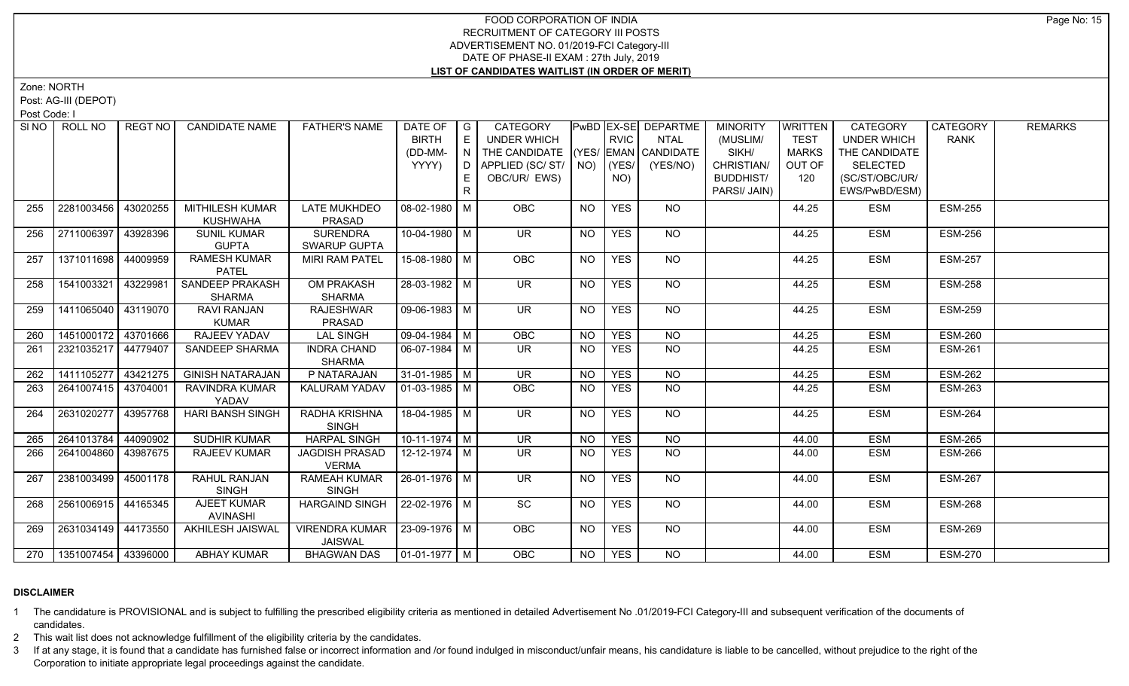Zone: NORTH

Post: AG-III (DEPOT)

Post Code: I

|     | SINO   ROLL NO              | REGT NO  | <b>CANDIDATE NAME</b>                   | <b>FATHER'S NAME</b>                              | DATE OF<br><b>BIRTH</b><br>(DD-MM-<br>YYYY) | $\overline{\phantom{a}}$ $\overline{\phantom{a}}$<br>E<br>N<br>D.<br>E<br>$\mathsf{R}$ | CATEGORY<br><b>UNDER WHICH</b><br>THE CANDIDATE (YES/ EMAN CANDIDATE<br>  APPLIED (SC/ ST/   NO)   (YES/  <br>OBC/UR/ EWS) |           | <b>RVIC</b><br>NO) | PwBD EX-SE DEPARTME<br><b>NTAL</b><br>(YES/NO) | <b>MINORITY</b><br>(MUSLIM/<br>SIKH/<br>CHRISTIAN/<br><b>BUDDHIST/</b><br>PARSI/ JAIN) | WRITTEN<br><b>TEST</b><br><b>MARKS</b><br>OUT OF<br>120 | CATEGORY<br><b>UNDER WHICH</b><br>THE CANDIDATE<br><b>SELECTED</b><br>(SC/ST/OBC/UR/<br>EWS/PwBD/ESM) | CATEGORY<br><b>RANK</b> | <b>REMARKS</b> |
|-----|-----------------------------|----------|-----------------------------------------|---------------------------------------------------|---------------------------------------------|----------------------------------------------------------------------------------------|----------------------------------------------------------------------------------------------------------------------------|-----------|--------------------|------------------------------------------------|----------------------------------------------------------------------------------------|---------------------------------------------------------|-------------------------------------------------------------------------------------------------------|-------------------------|----------------|
| 255 | 2281003456                  | 43020255 | MITHILESH KUMAR<br><b>KUSHWAHA</b>      | <b>LATE MUKHDEO</b><br>PRASAD                     | 08-02-1980 M                                |                                                                                        | <b>OBC</b>                                                                                                                 | <b>NO</b> | <b>YES</b>         | NO                                             |                                                                                        | 44.25                                                   | <b>ESM</b>                                                                                            | <b>ESM-255</b>          |                |
| 256 | 2711006397                  | 43928396 | <b>SUNIL KUMAR</b><br><b>GUPTA</b>      | <b>SURENDRA</b><br>SWARUP GUPTA                   | 10-04-1980 M                                |                                                                                        | <b>UR</b>                                                                                                                  | <b>NO</b> | <b>YES</b>         | <b>NO</b>                                      |                                                                                        | 44.25                                                   | <b>ESM</b>                                                                                            | <b>ESM-256</b>          |                |
| 257 | 1371011698                  | 44009959 | <b>RAMESH KUMAR</b><br><b>PATEL</b>     | <b>MIRI RAM PATEL</b>                             | 15-08-1980 M                                |                                                                                        | OBC                                                                                                                        | <b>NO</b> | <b>YES</b>         | $N$ <sup>O</sup>                               |                                                                                        | 44.25                                                   | <b>ESM</b>                                                                                            | <b>ESM-257</b>          |                |
| 258 | 1541003321                  | 43229981 | <b>SANDEEP PRAKASH</b><br><b>SHARMA</b> | <b>OM PRAKASH</b><br><b>SHARMA</b>                | $28-03-1982$ M                              |                                                                                        | $\overline{\mathsf{UR}}$                                                                                                   | <b>NO</b> | <b>YES</b>         | NO                                             |                                                                                        | 44.25                                                   | <b>ESM</b>                                                                                            | <b>ESM-258</b>          |                |
| 259 | 1411065040 43119070         |          | RAVI RANJAN<br><b>KUMAR</b>             | <b>RAJESHWAR</b><br>PRASAD                        | $\boxed{09-06-1983}$ M                      |                                                                                        | $\overline{\mathsf{UR}}$                                                                                                   | <b>NO</b> | <b>YES</b>         | <b>NO</b>                                      |                                                                                        | 44.25                                                   | <b>ESM</b>                                                                                            | <b>ESM-259</b>          |                |
| 260 | 1451000172 43701666         |          | RAJEEV YADAV                            | <b>LAL SINGH</b>                                  | $09-04-1984$ M                              |                                                                                        | OBC                                                                                                                        | <b>NO</b> | <b>YES</b>         | <b>NO</b>                                      |                                                                                        | 44.25                                                   | <b>ESM</b>                                                                                            | <b>ESM-260</b>          |                |
| 261 | 2321035217 44779407         |          | SANDEEP SHARMA                          | <b>INDRA CHAND</b><br>SHARMA                      | 06-07-1984   M                              |                                                                                        | <b>UR</b>                                                                                                                  | <b>NO</b> | <b>YES</b>         | NO                                             |                                                                                        | 44.25                                                   | <b>ESM</b>                                                                                            | <b>ESM-261</b>          |                |
| 262 | 1411105277 43421275         |          | <b>GINISH NATARAJAN</b>                 | P NATARAJAN                                       | 31-01-1985 M                                |                                                                                        | <b>UR</b>                                                                                                                  | <b>NO</b> | <b>YES</b>         | <b>NO</b>                                      |                                                                                        | 44.25                                                   | <b>ESM</b>                                                                                            | <b>ESM-262</b>          |                |
| 263 | 2641007415 43704001         |          | RAVINDRA KUMAR<br>YADAV                 | KALURAM YADAV                                     | $ 01-03-1985 $ M                            |                                                                                        | <b>OBC</b>                                                                                                                 | <b>NO</b> | <b>YES</b>         | NO                                             |                                                                                        | 44.25                                                   | <b>ESM</b>                                                                                            | <b>ESM-263</b>          |                |
| 264 | 2631020277                  | 43957768 | <b>HARI BANSH SINGH</b>                 | <b>RADHA KRISHNA</b><br><b>SINGH</b>              | 18-04-1985 M                                |                                                                                        | UR.                                                                                                                        | NO.       | <b>YES</b>         | NO.                                            |                                                                                        | 44.25                                                   | <b>ESM</b>                                                                                            | <b>ESM-264</b>          |                |
| 265 | 2641013784 44090902         |          | <b>SUDHIR KUMAR</b>                     | <b>HARPAL SINGH</b>                               | $10-11-1974$ M                              |                                                                                        | $\overline{\mathsf{UR}}$                                                                                                   | <b>NO</b> | <b>YES</b>         | N <sub>O</sub>                                 |                                                                                        | 44.00                                                   | <b>ESM</b>                                                                                            | <b>ESM-265</b>          |                |
| 266 | 2641004860 43987675         |          | <b>RAJEEV KUMAR</b>                     | <b>JAGDISH PRASAD</b><br><b>VERMA</b>             | 12-12-1974   M                              |                                                                                        | UR.                                                                                                                        | <b>NO</b> | <b>YES</b>         | NO                                             |                                                                                        | 44.00                                                   | <b>ESM</b>                                                                                            | <b>ESM-266</b>          |                |
| 267 | 2381003499                  | 45001178 | RAHUL RANJAN<br><b>SINGH</b>            | <b>RAMEAH KUMAR</b><br><b>SINGH</b>               | $26 - 01 - 1976$ M                          |                                                                                        | $\overline{\mathsf{UR}}$                                                                                                   | <b>NO</b> | <b>YES</b>         | $N$ O                                          |                                                                                        | 44.00                                                   | <b>ESM</b>                                                                                            | <b>ESM-267</b>          |                |
| 268 | 2561006915 44165345         |          | AJEET KUMAR<br><b>AVINASHI</b>          | <b>HARGAIND SINGH</b>                             | 22-02-1976 M                                |                                                                                        | SC                                                                                                                         | <b>NO</b> | <b>YES</b>         | NO                                             |                                                                                        | 44.00                                                   | <b>ESM</b>                                                                                            | <b>ESM-268</b>          |                |
| 269 | 2631034149 44173550         |          | AKHILESH JAISWAL                        | VIRENDRA KUMAR   23-09-1976   M<br><b>JAISWAL</b> |                                             |                                                                                        | <b>OBC</b>                                                                                                                 | <b>NO</b> | <b>YES</b>         | NO.                                            |                                                                                        | 44.00                                                   | <b>ESM</b>                                                                                            | <b>ESM-269</b>          |                |
|     | 270   1351007454   43396000 |          | <b>ABHAY KUMAR</b>                      | <b>BHAGWAN DAS</b>                                | $\vert$ 01-01-1977 $\vert$ M $\vert$        |                                                                                        | OBC                                                                                                                        | <b>NO</b> | <b>YES</b>         | NO                                             |                                                                                        | 44.00                                                   | <b>ESM</b>                                                                                            | <b>ESM-270</b>          |                |

# **DISCLAIMER**

1 The candidature is PROVISIONAL and is subject to fulfilling the prescribed eligibility criteria as mentioned in detailed Advertisement No .01/2019-FCI Category-III and subsequent verification of the documents of candidates.

2 This wait list does not acknowledge fulfillment of the eligibility criteria by the candidates.